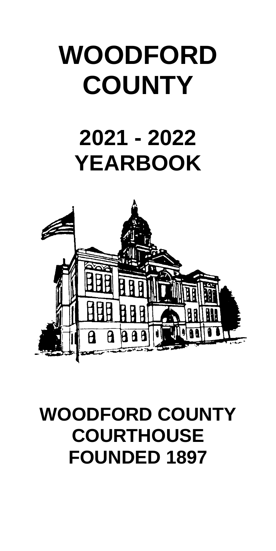# **WOODFORD COUNTY**

## **2021 - 2022 YEARBOOK**



## **WOODFORD COUNTY COURTHOUSE FOUNDED 1897**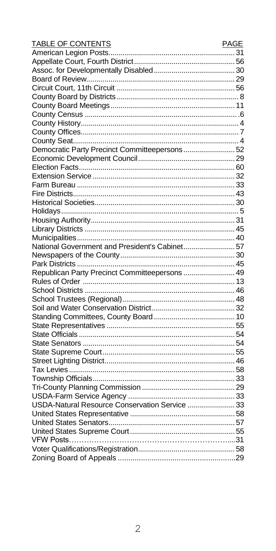| TABLE OF CONTENTS                              | <b>PAGE</b> |
|------------------------------------------------|-------------|
|                                                |             |
|                                                |             |
|                                                |             |
|                                                |             |
|                                                |             |
|                                                |             |
|                                                |             |
|                                                |             |
|                                                |             |
|                                                |             |
|                                                |             |
| Democratic Party Precinct Committeepersons 52  |             |
|                                                |             |
|                                                |             |
|                                                |             |
|                                                |             |
|                                                |             |
|                                                |             |
|                                                |             |
|                                                |             |
|                                                |             |
|                                                |             |
| National Government and President's Cabinet 57 |             |
|                                                |             |
|                                                |             |
| Republican Party Precinct Committeepersons  49 |             |
|                                                |             |
|                                                |             |
|                                                |             |
|                                                |             |
|                                                |             |
|                                                |             |
|                                                |             |
|                                                |             |
|                                                |             |
|                                                |             |
|                                                |             |
|                                                |             |
|                                                |             |
|                                                |             |
| USDA-Natural Resource Conservation Service  33 |             |
|                                                |             |
|                                                |             |
|                                                |             |
|                                                |             |
|                                                |             |
|                                                |             |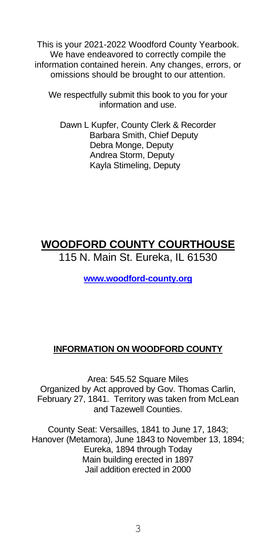This is your 2021-2022 Woodford County Yearbook. We have endeavored to correctly compile the information contained herein. Any changes, errors, or omissions should be brought to our attention.

We respectfully submit this book to you for your information and use.

Dawn L Kupfer, County Clerk & Recorder Barbara Smith, Chief Deputy Debra Monge, Deputy Andrea Storm, Deputy Kayla Stimeling, Deputy

## **WOODFORD COUNTY COURTHOUSE**

115 N. Main St. Eureka, IL 61530

**[www.woodford-county.org](http://www.woodford-county.org/)**

## **INFORMATION ON WOODFORD COUNTY**

Area: 545.52 Square Miles Organized by Act approved by Gov. Thomas Carlin, February 27, 1841. Territory was taken from McLean and Tazewell Counties.

County Seat: Versailles, 1841 to June 17, 1843; Hanover (Metamora), June 1843 to November 13, 1894; Eureka, 1894 through Today Main building erected in 1897 Jail addition erected in 2000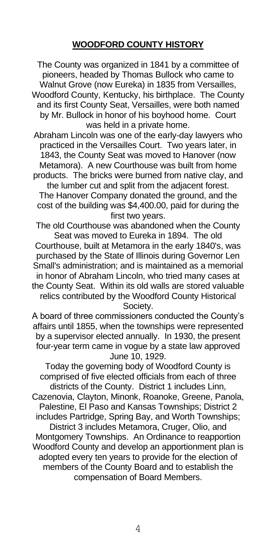#### **WOODFORD COUNTY HISTORY**

The County was organized in 1841 by a committee of pioneers, headed by Thomas Bullock who came to Walnut Grove (now Eureka) in 1835 from Versailles, Woodford County, Kentucky, his birthplace. The County and its first County Seat, Versailles, were both named by Mr. Bullock in honor of his boyhood home. Court was held in a private home.

Abraham Lincoln was one of the early-day lawyers who practiced in the Versailles Court. Two years later, in 1843, the County Seat was moved to Hanover (now Metamora). A new Courthouse was built from home products. The bricks were burned from native clay, and the lumber cut and split from the adjacent forest. The Hanover Company donated the ground, and the cost of the building was \$4,400.00, paid for during the

first two years.

The old Courthouse was abandoned when the County Seat was moved to Eureka in 1894. The old Courthouse, built at Metamora in the early 1840's, was purchased by the State of Illinois during Governor Len Small's administration; and is maintained as a memorial in honor of Abraham Lincoln, who tried many cases at the County Seat. Within its old walls are stored valuable relics contributed by the Woodford County Historical Society.

A board of three commissioners conducted the County's affairs until 1855, when the townships were represented by a supervisor elected annually. In 1930, the present four-year term came in vogue by a state law approved June 10, 1929.

Today the governing body of Woodford County is comprised of five elected officials from each of three districts of the County. District 1 includes Linn, Cazenovia, Clayton, Minonk, Roanoke, Greene, Panola, Palestine, El Paso and Kansas Townships; District 2 includes Partridge, Spring Bay, and Worth Townships; District 3 includes Metamora, Cruger, Olio, and Montgomery Townships. An Ordinance to reapportion Woodford County and develop an apportionment plan is adopted every ten years to provide for the election of members of the County Board and to establish the compensation of Board Members.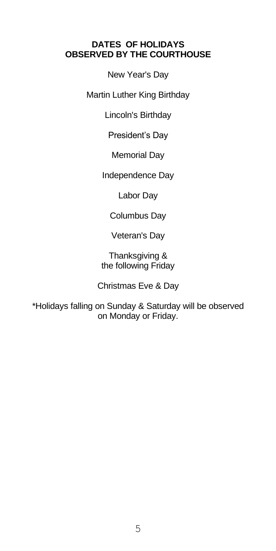#### **DATES OF HOLIDAYS OBSERVED BY THE COURTHOUSE**

New Year's Day

Martin Luther King Birthday

Lincoln's Birthday

President's Day

Memorial Day

Independence Day

Labor Day

Columbus Day

Veteran's Day

Thanksgiving & the following Friday

Christmas Eve & Day

\*Holidays falling on Sunday & Saturday will be observed on Monday or Friday.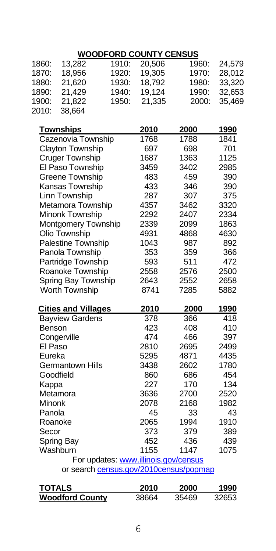## **WOODFORD COUNTY CENSUS**

| 13,282           | 1910:                                              | 20,506                                                                                                                                                                                                                                                                                                                                                                                 | 1960:                                                | 24,579                                                                                                                         |
|------------------|----------------------------------------------------|----------------------------------------------------------------------------------------------------------------------------------------------------------------------------------------------------------------------------------------------------------------------------------------------------------------------------------------------------------------------------------------|------------------------------------------------------|--------------------------------------------------------------------------------------------------------------------------------|
| 18,956           | 1920:                                              | 19,305                                                                                                                                                                                                                                                                                                                                                                                 | 1970:                                                | 28,012                                                                                                                         |
| 21,620           | 1930:                                              | 18,792                                                                                                                                                                                                                                                                                                                                                                                 | 1980:                                                | 33,320                                                                                                                         |
|                  | 1940:                                              |                                                                                                                                                                                                                                                                                                                                                                                        |                                                      | 32,653                                                                                                                         |
| 21,822           | 1950:                                              | 21,335                                                                                                                                                                                                                                                                                                                                                                                 | 2000:                                                | 35,469                                                                                                                         |
| 38,664           |                                                    |                                                                                                                                                                                                                                                                                                                                                                                        |                                                      |                                                                                                                                |
|                  |                                                    |                                                                                                                                                                                                                                                                                                                                                                                        |                                                      |                                                                                                                                |
| <b>Townships</b> |                                                    | 2010                                                                                                                                                                                                                                                                                                                                                                                   | 2000                                                 | 1990                                                                                                                           |
|                  |                                                    | 1768                                                                                                                                                                                                                                                                                                                                                                                   | 1788                                                 | 1841                                                                                                                           |
|                  |                                                    | 697                                                                                                                                                                                                                                                                                                                                                                                    | 698                                                  | 701                                                                                                                            |
|                  |                                                    | 1687                                                                                                                                                                                                                                                                                                                                                                                   | 1363                                                 | 1125                                                                                                                           |
|                  |                                                    | 3459                                                                                                                                                                                                                                                                                                                                                                                   | 3402                                                 | 2985                                                                                                                           |
|                  |                                                    | 483                                                                                                                                                                                                                                                                                                                                                                                    | 459                                                  | 390                                                                                                                            |
|                  |                                                    | 433                                                                                                                                                                                                                                                                                                                                                                                    | 346                                                  | 390                                                                                                                            |
| Linn Township    |                                                    | 287                                                                                                                                                                                                                                                                                                                                                                                    | 307                                                  | 375                                                                                                                            |
|                  |                                                    | 4357                                                                                                                                                                                                                                                                                                                                                                                   | 3462                                                 | 3320                                                                                                                           |
|                  |                                                    | 2292                                                                                                                                                                                                                                                                                                                                                                                   |                                                      | 2334                                                                                                                           |
|                  |                                                    |                                                                                                                                                                                                                                                                                                                                                                                        |                                                      | 1863                                                                                                                           |
|                  |                                                    |                                                                                                                                                                                                                                                                                                                                                                                        |                                                      | 4630                                                                                                                           |
|                  |                                                    | 1043                                                                                                                                                                                                                                                                                                                                                                                   |                                                      | 892                                                                                                                            |
|                  |                                                    | 353                                                                                                                                                                                                                                                                                                                                                                                    | 359                                                  | 366                                                                                                                            |
|                  |                                                    | 593                                                                                                                                                                                                                                                                                                                                                                                    | 511                                                  | 472                                                                                                                            |
|                  |                                                    | 2558                                                                                                                                                                                                                                                                                                                                                                                   | 2576                                                 | 2500                                                                                                                           |
|                  |                                                    |                                                                                                                                                                                                                                                                                                                                                                                        | 2552                                                 | 2658                                                                                                                           |
|                  |                                                    |                                                                                                                                                                                                                                                                                                                                                                                        |                                                      | 5882                                                                                                                           |
|                  |                                                    |                                                                                                                                                                                                                                                                                                                                                                                        | 2000                                                 | <u> 1990</u>                                                                                                                   |
|                  |                                                    | 378                                                                                                                                                                                                                                                                                                                                                                                    | 366                                                  | 418                                                                                                                            |
| Benson           |                                                    | 423                                                                                                                                                                                                                                                                                                                                                                                    | 408                                                  | 410                                                                                                                            |
| Congerville      |                                                    | 474                                                                                                                                                                                                                                                                                                                                                                                    | 466                                                  | 397                                                                                                                            |
| El Paso          |                                                    | 2810                                                                                                                                                                                                                                                                                                                                                                                   | 2695                                                 | 2499                                                                                                                           |
| Eureka           |                                                    | 5295                                                                                                                                                                                                                                                                                                                                                                                   | 4871                                                 | 4435                                                                                                                           |
|                  |                                                    | 3438                                                                                                                                                                                                                                                                                                                                                                                   | 2602                                                 | 1780                                                                                                                           |
| Goodfield        |                                                    | 860                                                                                                                                                                                                                                                                                                                                                                                    | 686                                                  | 454                                                                                                                            |
|                  |                                                    | 227                                                                                                                                                                                                                                                                                                                                                                                    | 170                                                  | 134                                                                                                                            |
| Metamora         |                                                    | 3636                                                                                                                                                                                                                                                                                                                                                                                   | 2700                                                 | 2520                                                                                                                           |
| Minonk           |                                                    | 2078                                                                                                                                                                                                                                                                                                                                                                                   | 2168                                                 | 1982                                                                                                                           |
| Panola           |                                                    |                                                                                                                                                                                                                                                                                                                                                                                        | 33                                                   | 43                                                                                                                             |
| Roanoke          |                                                    | 2065                                                                                                                                                                                                                                                                                                                                                                                   | 1994                                                 | 1910                                                                                                                           |
| Secor            |                                                    | 373                                                                                                                                                                                                                                                                                                                                                                                    | 379                                                  | 389                                                                                                                            |
| Spring Bay       |                                                    | 452                                                                                                                                                                                                                                                                                                                                                                                    | 436                                                  | 439                                                                                                                            |
| Washburn         |                                                    | 1155                                                                                                                                                                                                                                                                                                                                                                                   | 1147                                                 | 1075                                                                                                                           |
|                  |                                                    |                                                                                                                                                                                                                                                                                                                                                                                        |                                                      |                                                                                                                                |
|                  |                                                    |                                                                                                                                                                                                                                                                                                                                                                                        |                                                      |                                                                                                                                |
|                  | 21,429<br>Olio Township<br>Worth Township<br>Kappa | Cazenovia Township<br>Clayton Township<br><b>Cruger Township</b><br>El Paso Township<br><b>Greene Township</b><br>Kansas Township<br>Metamora Township<br>Minonk Township<br>Montgomery Township<br>Palestine Township<br>Panola Township<br>Partridge Township<br>Roanoke Township<br>Spring Bay Township<br><b>Cities and Villages</b><br><b>Bayview Gardens</b><br>Germantown Hills | 19,124<br>2339<br>4931<br>2643<br>8741<br>2010<br>45 | 1990:<br>2407<br>2099<br>4868<br>987<br>7285<br>For updates: www.illinois.gov/census<br>or search census.gov/2010census/popmap |

| <b>TOTALS</b>          | 2010  | 2000  | 1990  |
|------------------------|-------|-------|-------|
| <b>Woodford County</b> | 38664 | 35469 | 32653 |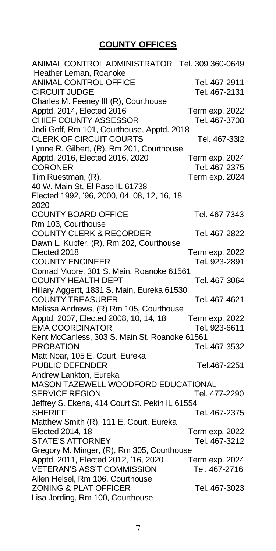#### **COUNTY OFFICES**

ANIMAL CONTROL ADMINISTRATOR Tel. 309 360-0649 Heather Leman, Roanoke ANIMAL CONTROL OFFICE Tel. 467-2911 CIRCUIT JUDGE Tel. 467-2131 Charles M. Feeney III (R), Courthouse Apptd. 2014, Elected 2016 Term exp. 2022 CHIEF COUNTY ASSESSOR Tel. 467-3708 Jodi Goff, Rm 101, Courthouse, Apptd. 2018 CLERK OF CIRCUIT COURTS Tel. 467-3312 Lynne R. Gilbert, (R), Rm 201, Courthouse Apptd. 2016, Elected 2016, 2020 Term exp. 2024 CORONER Tel. 467-2375 Tim Ruestman, (R), Term exp. 2024 40 W. Main St, El Paso IL 61738 Elected 1992, '96, 2000, 04, 08, 12, 16, 18, 2020 COUNTY BOARD OFFICE Tel. 467-7343 Rm 103, Courthouse COUNTY CLERK & RECORDER Tel. 467-2822 Dawn L. Kupfer, (R), Rm 202, Courthouse Elected 2018 Term exp. 2022 COUNTY ENGINEER Tel. 923-2891 Conrad Moore, 301 S. Main, Roanoke 61561 COUNTY HEALTH DEPT Tel. 467-3064 Hillary Aggertt, 1831 S. Main, Eureka 61530 COUNTY TREASURER Tel. 467-4621 Melissa Andrews, (R) Rm 105, Courthouse Apptd. 2007, Elected 2008, 10, 14, 18 Term exp. 2022 EMA COORDINATOR Tel. 923-6611 Kent McCanless, 303 S. Main St, Roanoke 61561 PROBATION Tel. 467-3532 Matt Noar, 105 E. Court, Eureka PUBLIC DEFENDER Tel.467-2251 Andrew Lankton, Eureka MASON TAZEWELL WOODFORD EDUCATIONAL SERVICE REGION Tel. 477-2290 Jeffrey S. Ekena, 414 Court St. Pekin IL 61554 SHERIFF Tel. 467-2375 Matthew Smith (R), 111 E. Court, Eureka Elected 2014, 18 Term exp. 2022 STATE'S ATTORNEY Tel. 467-3212 Gregory M. Minger, (R), Rm 305, Courthouse Apptd. 2011, Elected 2012, '16, 2020 Term exp. 2024 VETERAN'S ASS'T COMMISSION Tel. 467-2716 Allen Helsel, Rm 106, Courthouse ZONING & PLAT OFFICER Tel. 467-3023 Lisa Jording, Rm 100, Courthouse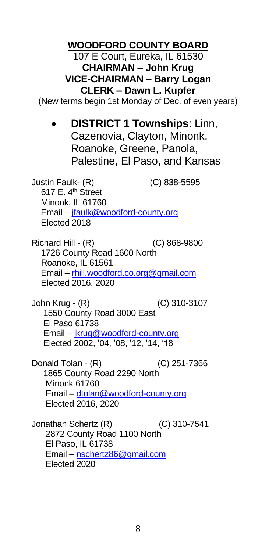## **WOODFORD COUNTY BOARD**

107 E Court, Eureka, IL 61530 **CHAIRMAN – John Krug VICE-CHAIRMAN – Barry Logan CLERK – Dawn L. Kupfer**

(New terms begin 1st Monday of Dec. of even years)

• **DISTRICT 1 Townships**: Linn, Cazenovia, Clayton, Minonk, Roanoke, Greene, Panola, Palestine, El Paso, and Kansas

Justin Faulk- (R) (C) 838-5595 617 E.  $4<sup>th</sup>$  Street Minonk, IL 61760 Email – [jfaulk@woodford-county.org](mailto:jfaulk@woodford-county.org) Elected 2018

Richard Hill - (R) (C) 868-9800 1726 County Road 1600 North Roanoke, IL 61561 Email – rhill.woodford.co.org@gmail.com Elected 2016, 2020

John Krug - (R) (C) 310-3107 1550 County Road 3000 East El Paso 61738 Email – [jkrug@woodford-county.org](file://///wcapps-01/cntyclerk/County%20Boards/County%20Yearbook/jkrug@woodford-county.org) Elected 2002, '04, '08, '12, '14, '18

Donald Tolan - (R) (C) 251-7366 1865 County Road 2290 North Minonk 61760 Email – [dtolan@woodford-county.org](mailto:dtolan@woodford-county.org) Elected 2016, 2020

Jonathan Schertz (R) (C) 310-7541 2872 County Road 1100 North El Paso, IL 61738 Email – nschertz86@gmail.com Elected 2020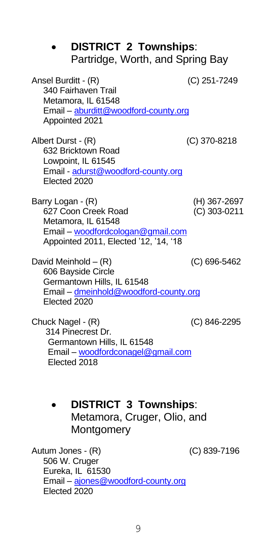| <b>DISTRICT 2 Townships:</b><br>Partridge, Worth, and Spring Bay                                                                             |                              |
|----------------------------------------------------------------------------------------------------------------------------------------------|------------------------------|
| Ansel Burditt - (R)<br>340 Fairhaven Trail<br>Metamora, IL 61548<br>Email - aburditt@woodford-county.org<br>Appointed 2021                   | (C) 251-7249                 |
| Albert Durst - (R)<br>632 Bricktown Road<br>Lowpoint, IL 61545<br>Email - adurst@woodford-county.org<br>Elected 2020                         | (C) 370-8218                 |
| Barry Logan - (R)<br>627 Coon Creek Road<br>Metamora, IL 61548<br>Email – woodfordcologan@gmail.com<br>Appointed 2011, Elected '12, '14, '18 | (H) 367-2697<br>(C) 303-0211 |
| David Meinhold – (R)<br>606 Bayside Circle<br>Germantown Hills. IL 61548<br>Email - dmeinhold@woodford-county.org<br>Flected 2020            | (C) 696-5462                 |
| Chuck Nagel - (R)<br>314 Pinecrest Dr.<br>Germantown Hills, IL 61548<br>Email - woodfordconagel@gmail.com<br>Flected 2018                    | (C) 846-2295                 |

• **DISTRICT 3 Townships**: Metamora, Cruger, Olio, and **Montgomery** 

Autum Jones - (R) (C) 839-7196 506 W. Cruger Eureka, IL 61530 Email – [ajones@woodford-county.org](mailto:ajones@woodford-county.org) Elected 2020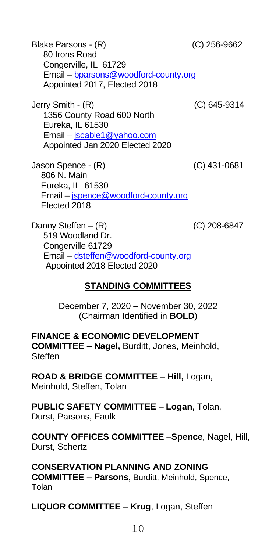Blake Parsons - (R) (C) 256-9662 80 Irons Road Congerville, IL 61729 Email – [bparsons@woodford-county.org](file://///wcapps-01/cntyclerk/County%20Boards/County%20Yearbook/bparsons@woodford-county.org) Appointed 2017, Elected 2018

Jerry Smith - (R) (C) 645-9314 1356 County Road 600 North Eureka, IL 61530 Email – jscable1@yahoo.com Appointed Jan 2020 Elected 2020

Jason Spence - (R) (C) 431-0681 806 N. Main Eureka, IL 61530 Email – [jspence@woodford-county.org](file://///wcapps-01/cntyclerk/County%20Boards/County%20Yearbook/jspence@woodford-county.org) Elected 2018

Danny Steffen –  $(R)$  (C) 208-6847 519 Woodland Dr. Congerville 61729 Email – [dsteffen@woodford-county.org](mailto:dsteffen@woodford-county.org) Appointed 2018 Elected 2020

#### **STANDING COMMITTEES**

December 7, 2020 – November 30, 2022 (Chairman Identified in **BOLD**)

**FINANCE & ECONOMIC DEVELOPMENT COMMITTEE** – **Nagel,** Burditt, Jones, Meinhold, **Steffen** 

**ROAD & BRIDGE COMMITTEE** – **Hill,** Logan, Meinhold, Steffen, Tolan

**PUBLIC SAFETY COMMITTEE** – **Logan**, Tolan, Durst, Parsons, Faulk

**COUNTY OFFICES COMMITTEE** –**Spence**, Nagel, Hill, Durst, Schertz

**CONSERVATION PLANNING AND ZONING COMMITTEE – Parsons,** Burditt, Meinhold, Spence, Tolan

**LIQUOR COMMITTEE** – **Krug**, Logan, Steffen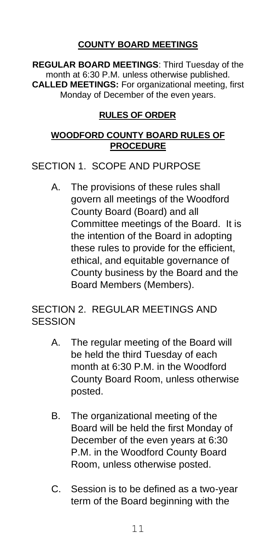## **COUNTY BOARD MEETINGS**

**REGULAR BOARD MEETINGS**: Third Tuesday of the month at 6:30 P.M. unless otherwise published. **CALLED MEETINGS:** For organizational meeting, first Monday of December of the even years.

## **RULES OF ORDER**

#### **WOODFORD COUNTY BOARD RULES OF PROCEDURE**

SECTION 1. SCOPE AND PURPOSE

A. The provisions of these rules shall govern all meetings of the Woodford County Board (Board) and all Committee meetings of the Board. It is the intention of the Board in adopting these rules to provide for the efficient, ethical, and equitable governance of County business by the Board and the Board Members (Members).

## SECTION 2. REGULAR MEETINGS AND **SESSION**

- A. The regular meeting of the Board will be held the third Tuesday of each month at 6:30 P.M. in the Woodford County Board Room, unless otherwise posted.
- B. The organizational meeting of the Board will be held the first Monday of December of the even years at 6:30 P.M. in the Woodford County Board Room, unless otherwise posted.
- C. Session is to be defined as a two-year term of the Board beginning with the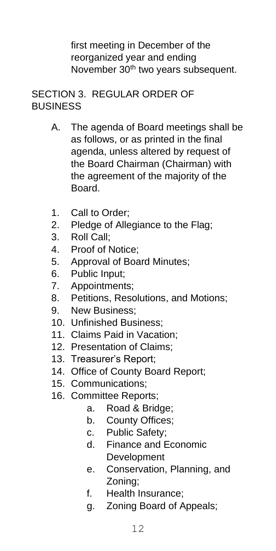first meeting in December of the reorganized year and ending November 30<sup>th</sup> two years subsequent.

## SECTION 3. REGULAR ORDER OF BUSINESS

- A. The agenda of Board meetings shall be as follows, or as printed in the final agenda, unless altered by request of the Board Chairman (Chairman) with the agreement of the majority of the Board.
- 1. Call to Order;
- 2. Pledge of Allegiance to the Flag;
- 3. Roll Call;
- 4. Proof of Notice;
- 5. Approval of Board Minutes;
- 6. Public Input;
- 7. Appointments;
- 8. Petitions, Resolutions, and Motions;
- 9. New Business;
- 10. Unfinished Business;
- 11. Claims Paid in Vacation;
- 12. Presentation of Claims;
- 13. Treasurer's Report;
- 14. Office of County Board Report;
- 15. Communications;
- 16. Committee Reports;
	- a. Road & Bridge;
	- b. County Offices;
	- c. Public Safety;
	- d. Finance and Economic Development
	- e. Conservation, Planning, and Zoning;
	- f. Health Insurance;
	- g. Zoning Board of Appeals;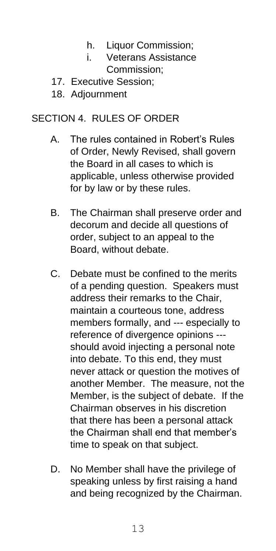- h. Liquor Commission:
- i. Veterans Assistance Commission;
- 17. Executive Session;
- 18. Adjournment

## SECTION 4. RULES OF ORDER

- A. The rules contained in Robert's Rules of Order, Newly Revised, shall govern the Board in all cases to which is applicable, unless otherwise provided for by law or by these rules.
- B. The Chairman shall preserve order and decorum and decide all questions of order, subject to an appeal to the Board, without debate.
- C. Debate must be confined to the merits of a pending question. Speakers must address their remarks to the Chair, maintain a courteous tone, address members formally, and --- especially to reference of divergence opinions -- should avoid injecting a personal note into debate. To this end, they must never attack or question the motives of another Member. The measure, not the Member, is the subject of debate. If the Chairman observes in his discretion that there has been a personal attack the Chairman shall end that member's time to speak on that subject.
- D. No Member shall have the privilege of speaking unless by first raising a hand and being recognized by the Chairman.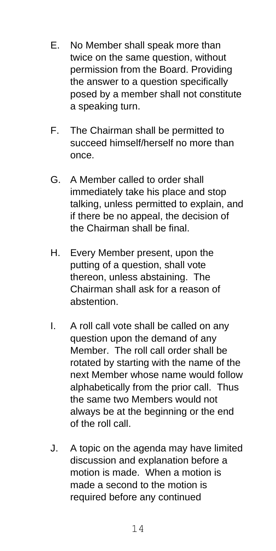- E. No Member shall speak more than twice on the same question, without permission from the Board. Providing the answer to a question specifically posed by a member shall not constitute a speaking turn.
- F. The Chairman shall be permitted to succeed himself/herself no more than once.
- G. A Member called to order shall immediately take his place and stop talking, unless permitted to explain, and if there be no appeal, the decision of the Chairman shall be final.
- H. Every Member present, upon the putting of a question, shall vote thereon, unless abstaining. The Chairman shall ask for a reason of abstention.
- I. A roll call vote shall be called on any question upon the demand of any Member. The roll call order shall be rotated by starting with the name of the next Member whose name would follow alphabetically from the prior call. Thus the same two Members would not always be at the beginning or the end of the roll call.
- J. A topic on the agenda may have limited discussion and explanation before a motion is made. When a motion is made a second to the motion is required before any continued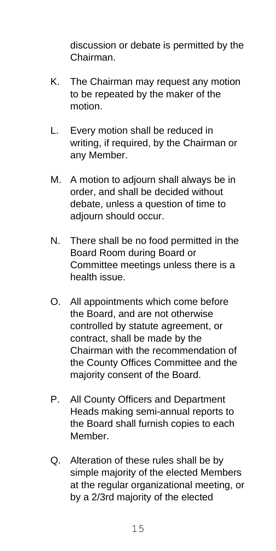discussion or debate is permitted by the Chairman.

- K. The Chairman may request any motion to be repeated by the maker of the motion.
- L. Every motion shall be reduced in writing, if required, by the Chairman or any Member.
- M. A motion to adjourn shall always be in order, and shall be decided without debate, unless a question of time to adjourn should occur.
- N. There shall be no food permitted in the Board Room during Board or Committee meetings unless there is a health issue.
- O. All appointments which come before the Board, and are not otherwise controlled by statute agreement, or contract, shall be made by the Chairman with the recommendation of the County Offices Committee and the majority consent of the Board.
- P. All County Officers and Department Heads making semi-annual reports to the Board shall furnish copies to each Member.
- Q. Alteration of these rules shall be by simple majority of the elected Members at the regular organizational meeting, or by a 2/3rd majority of the elected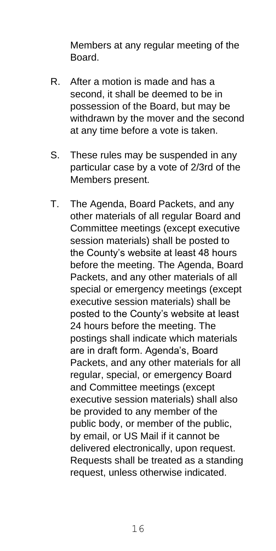Members at any regular meeting of the **Board** 

- R. After a motion is made and has a second, it shall be deemed to be in possession of the Board, but may be withdrawn by the mover and the second at any time before a vote is taken.
- S. These rules may be suspended in any particular case by a vote of 2/3rd of the Members present.
- T. The Agenda, Board Packets, and any other materials of all regular Board and Committee meetings (except executive session materials) shall be posted to the County's website at least 48 hours before the meeting. The Agenda, Board Packets, and any other materials of all special or emergency meetings (except executive session materials) shall be posted to the County's website at least 24 hours before the meeting. The postings shall indicate which materials are in draft form. Agenda's, Board Packets, and any other materials for all regular, special, or emergency Board and Committee meetings (except executive session materials) shall also be provided to any member of the public body, or member of the public, by email, or US Mail if it cannot be delivered electronically, upon request. Requests shall be treated as a standing request, unless otherwise indicated.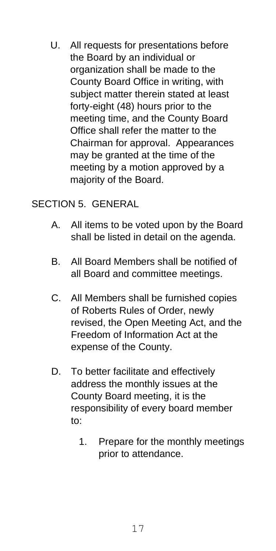U. All requests for presentations before the Board by an individual or organization shall be made to the County Board Office in writing, with subject matter therein stated at least forty-eight (48) hours prior to the meeting time, and the County Board Office shall refer the matter to the Chairman for approval. Appearances may be granted at the time of the meeting by a motion approved by a majority of the Board.

## SECTION 5. GENERAL

- A. All items to be voted upon by the Board shall be listed in detail on the agenda.
- B. All Board Members shall be notified of all Board and committee meetings.
- C. All Members shall be furnished copies of Roberts Rules of Order, newly revised, the Open Meeting Act, and the Freedom of Information Act at the expense of the County.
- D. To better facilitate and effectively address the monthly issues at the County Board meeting, it is the responsibility of every board member to:
	- 1. Prepare for the monthly meetings prior to attendance.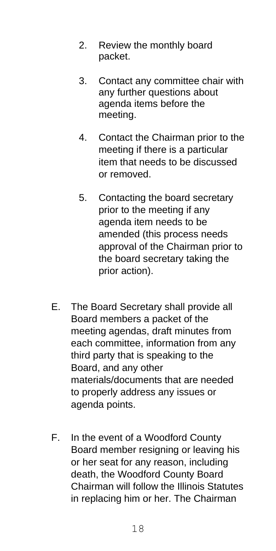- 2. Review the monthly board packet.
- 3. Contact any committee chair with any further questions about agenda items before the meeting.
- 4. Contact the Chairman prior to the meeting if there is a particular item that needs to be discussed or removed.
- 5. Contacting the board secretary prior to the meeting if any agenda item needs to be amended (this process needs approval of the Chairman prior to the board secretary taking the prior action).
- E. The Board Secretary shall provide all Board members a packet of the meeting agendas, draft minutes from each committee, information from any third party that is speaking to the Board, and any other materials/documents that are needed to properly address any issues or agenda points.
- F. In the event of a Woodford County Board member resigning or leaving his or her seat for any reason, including death, the Woodford County Board Chairman will follow the Illinois Statutes in replacing him or her. The Chairman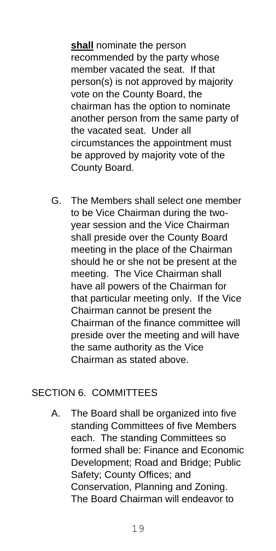**shall** nominate the person recommended by the party whose member vacated the seat. If that person(s) is not approved by majority vote on the County Board, the chairman has the option to nominate another person from the same party of the vacated seat. Under all circumstances the appointment must be approved by majority vote of the County Board.

G. The Members shall select one member to be Vice Chairman during the twoyear session and the Vice Chairman shall preside over the County Board meeting in the place of the Chairman should he or she not be present at the meeting. The Vice Chairman shall have all powers of the Chairman for that particular meeting only. If the Vice Chairman cannot be present the Chairman of the finance committee will preside over the meeting and will have the same authority as the Vice Chairman as stated above.

## SECTION 6. COMMITTEES

A. The Board shall be organized into five standing Committees of five Members each. The standing Committees so formed shall be: Finance and Economic Development; Road and Bridge; Public Safety; County Offices; and Conservation, Planning and Zoning. The Board Chairman will endeavor to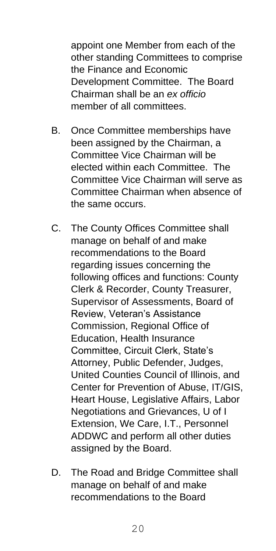appoint one Member from each of the other standing Committees to comprise the Finance and Economic Development Committee. The Board Chairman shall be an *ex officio* member of all committees.

- B. Once Committee memberships have been assigned by the Chairman, a Committee Vice Chairman will be elected within each Committee. The Committee Vice Chairman will serve as Committee Chairman when absence of the same occurs.
- C. The County Offices Committee shall manage on behalf of and make recommendations to the Board regarding issues concerning the following offices and functions: County Clerk & Recorder, County Treasurer, Supervisor of Assessments, Board of Review, Veteran's Assistance Commission, Regional Office of Education, Health Insurance Committee, Circuit Clerk, State's Attorney, Public Defender, Judges, United Counties Council of Illinois, and Center for Prevention of Abuse, IT/GIS, Heart House, Legislative Affairs, Labor Negotiations and Grievances, U of I Extension, We Care, I.T., Personnel ADDWC and perform all other duties assigned by the Board.
- D. The Road and Bridge Committee shall manage on behalf of and make recommendations to the Board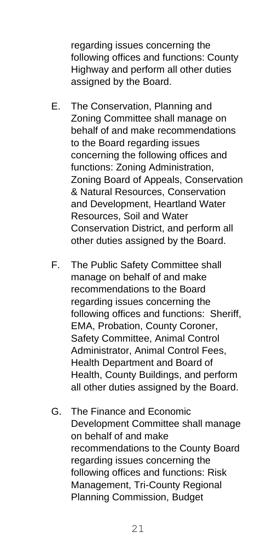regarding issues concerning the following offices and functions: County Highway and perform all other duties assigned by the Board.

- E. The Conservation, Planning and Zoning Committee shall manage on behalf of and make recommendations to the Board regarding issues concerning the following offices and functions: Zoning Administration, Zoning Board of Appeals, Conservation & Natural Resources, Conservation and Development, Heartland Water Resources, Soil and Water Conservation District, and perform all other duties assigned by the Board.
- F. The Public Safety Committee shall manage on behalf of and make recommendations to the Board regarding issues concerning the following offices and functions: Sheriff, EMA, Probation, County Coroner, Safety Committee, Animal Control Administrator, Animal Control Fees, Health Department and Board of Health, County Buildings, and perform all other duties assigned by the Board.
- G. The Finance and Economic Development Committee shall manage on behalf of and make recommendations to the County Board regarding issues concerning the following offices and functions: Risk Management, Tri-County Regional Planning Commission, Budget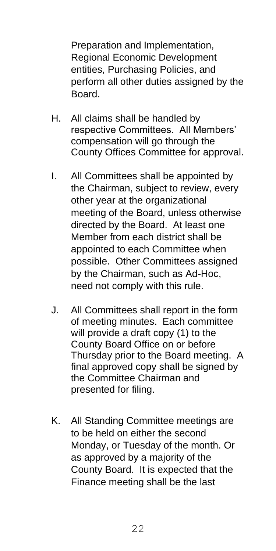Preparation and Implementation, Regional Economic Development entities, Purchasing Policies, and perform all other duties assigned by the Board.

- H. All claims shall be handled by respective Committees. All Members' compensation will go through the County Offices Committee for approval.
- I. All Committees shall be appointed by the Chairman, subject to review, every other year at the organizational meeting of the Board, unless otherwise directed by the Board. At least one Member from each district shall be appointed to each Committee when possible. Other Committees assigned by the Chairman, such as Ad-Hoc, need not comply with this rule.
- J. All Committees shall report in the form of meeting minutes. Each committee will provide a draft copy (1) to the County Board Office on or before Thursday prior to the Board meeting. A final approved copy shall be signed by the Committee Chairman and presented for filing.
- K. All Standing Committee meetings are to be held on either the second Monday, or Tuesday of the month. Or as approved by a majority of the County Board. It is expected that the Finance meeting shall be the last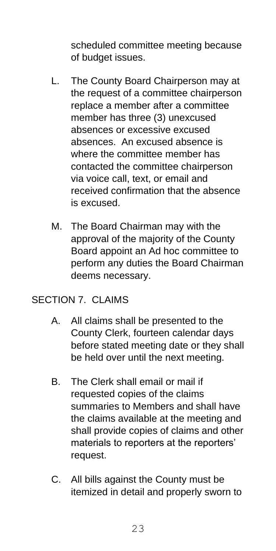scheduled committee meeting because of budget issues.

- L. The County Board Chairperson may at the request of a committee chairperson replace a member after a committee member has three (3) unexcused absences or excessive excused absences. An excused absence is where the committee member has contacted the committee chairperson via voice call, text, or email and received confirmation that the absence is excused.
- M. The Board Chairman may with the approval of the majority of the County Board appoint an Ad hoc committee to perform any duties the Board Chairman deems necessary.

## SECTION 7. CLAIMS

- A. All claims shall be presented to the County Clerk, fourteen calendar days before stated meeting date or they shall be held over until the next meeting.
- B. The Clerk shall email or mail if requested copies of the claims summaries to Members and shall have the claims available at the meeting and shall provide copies of claims and other materials to reporters at the reporters' request.
- C. All bills against the County must be itemized in detail and properly sworn to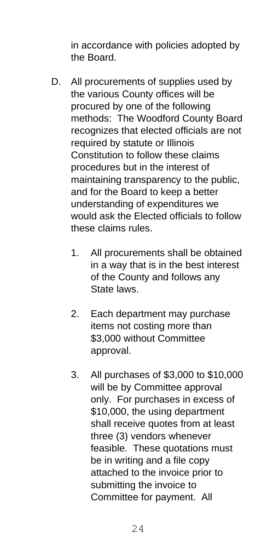in accordance with policies adopted by the Board.

- D. All procurements of supplies used by the various County offices will be procured by one of the following methods: The Woodford County Board recognizes that elected officials are not required by statute or Illinois Constitution to follow these claims procedures but in the interest of maintaining transparency to the public, and for the Board to keep a better understanding of expenditures we would ask the Elected officials to follow these claims rules.
	- 1. All procurements shall be obtained in a way that is in the best interest of the County and follows any State laws.
	- 2. Each department may purchase items not costing more than \$3,000 without Committee approval.
	- 3. All purchases of \$3,000 to \$10,000 will be by Committee approval only. For purchases in excess of \$10,000, the using department shall receive quotes from at least three (3) vendors whenever feasible. These quotations must be in writing and a file copy attached to the invoice prior to submitting the invoice to Committee for payment. All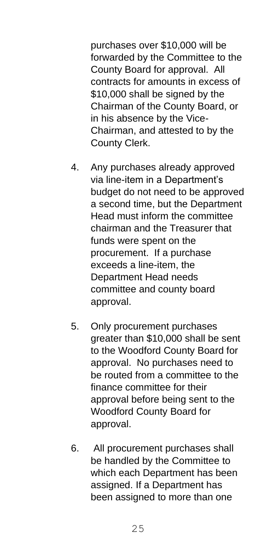purchases over \$10,000 will be forwarded by the Committee to the County Board for approval. All contracts for amounts in excess of \$10,000 shall be signed by the Chairman of the County Board, or in his absence by the Vice-Chairman, and attested to by the County Clerk.

- 4. Any purchases already approved via line-item in a Department's budget do not need to be approved a second time, but the Department Head must inform the committee chairman and the Treasurer that funds were spent on the procurement. If a purchase exceeds a line-item, the Department Head needs committee and county board approval.
- 5. Only procurement purchases greater than \$10,000 shall be sent to the Woodford County Board for approval. No purchases need to be routed from a committee to the finance committee for their approval before being sent to the Woodford County Board for approval.
- 6. All procurement purchases shall be handled by the Committee to which each Department has been assigned. If a Department has been assigned to more than one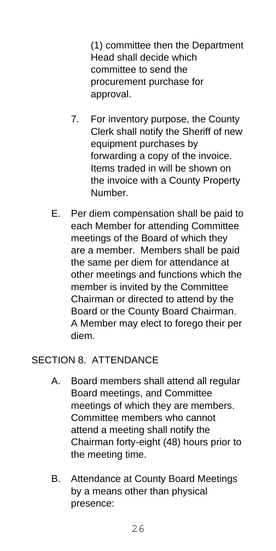(1) committee then the Department Head shall decide which committee to send the procurement purchase for approval.

- 7. For inventory purpose, the County Clerk shall notify the Sheriff of new equipment purchases by forwarding a copy of the invoice. Items traded in will be shown on the invoice with a County Property Number.
- E. Per diem compensation shall be paid to each Member for attending Committee meetings of the Board of which they are a member. Members shall be paid the same per diem for attendance at other meetings and functions which the member is invited by the Committee Chairman or directed to attend by the Board or the County Board Chairman. A Member may elect to forego their per diem.

## SECTION 8. ATTENDANCE

- A. Board members shall attend all regular Board meetings, and Committee meetings of which they are members. Committee members who cannot attend a meeting shall notify the Chairman forty-eight (48) hours prior to the meeting time.
- B. Attendance at County Board Meetings by a means other than physical presence: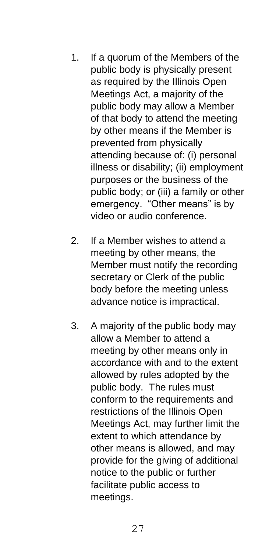- 1. If a quorum of the Members of the public body is physically present as required by the Illinois Open Meetings Act, a majority of the public body may allow a Member of that body to attend the meeting by other means if the Member is prevented from physically attending because of: (i) personal illness or disability; (ii) employment purposes or the business of the public body; or (iii) a family or other emergency. "Other means" is by video or audio conference.
- 2. If a Member wishes to attend a meeting by other means, the Member must notify the recording secretary or Clerk of the public body before the meeting unless advance notice is impractical.
- 3. A majority of the public body may allow a Member to attend a meeting by other means only in accordance with and to the extent allowed by rules adopted by the public body. The rules must conform to the requirements and restrictions of the Illinois Open Meetings Act, may further limit the extent to which attendance by other means is allowed, and may provide for the giving of additional notice to the public or further facilitate public access to meetings.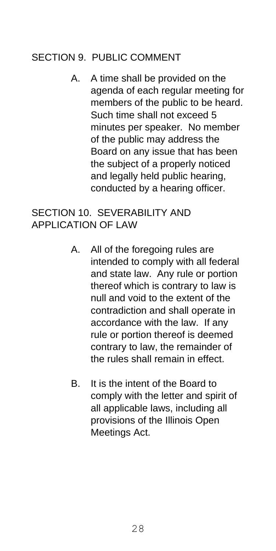## SECTION 9 PUBLIC COMMENT

A. A time shall be provided on the agenda of each regular meeting for members of the public to be heard. Such time shall not exceed 5 minutes per speaker. No member of the public may address the Board on any issue that has been the subject of a properly noticed and legally held public hearing, conducted by a hearing officer.

## SECTION 10. SEVERABILITY AND APPLICATION OF LAW

- A. All of the foregoing rules are intended to comply with all federal and state law. Any rule or portion thereof which is contrary to law is null and void to the extent of the contradiction and shall operate in accordance with the law. If any rule or portion thereof is deemed contrary to law, the remainder of the rules shall remain in effect.
- B. It is the intent of the Board to comply with the letter and spirit of all applicable laws, including all provisions of the Illinois Open Meetings Act.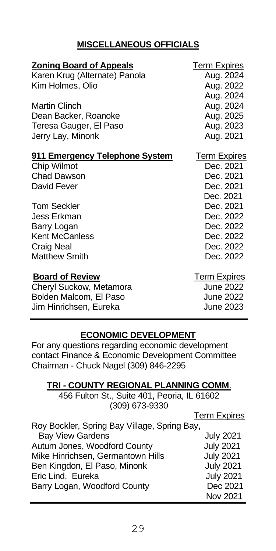## **MISCELLANEOUS OFFICIALS**

| <b>Term Expires</b><br>Aug. 2024<br>Aug. 2022<br>Aug. 2024<br>Aug. 2024<br>Aug. 2025<br>Aug. 2023<br>Aug. 2021        |
|-----------------------------------------------------------------------------------------------------------------------|
| <b>Term Expires</b><br>Dec. 2021<br>Dec. 2021<br>Dec. 2021<br>Dec. 2021<br>Dec. 2021<br>Dec. 2022                     |
| Dec. 2022<br>Dec. 2022<br>Dec. 2022<br>Dec. 2022<br><b>Term Expires</b><br><b>June 2022</b><br>June 2022<br>June 2023 |
|                                                                                                                       |

## **ECONOMIC DEVELOPMENT**

For any questions regarding economic development contact Finance & Economic Development Committee Chairman - Chuck Nagel (309) 846-2295

#### **TRI - COUNTY REGIONAL PLANNING COMM**.

456 Fulton St., Suite 401, Peoria, IL 61602 (309) 673-9330

|                                              | <b>Term Expires</b> |
|----------------------------------------------|---------------------|
| Roy Bockler, Spring Bay Village, Spring Bay, |                     |
| <b>Bay View Gardens</b>                      | <b>July 2021</b>    |
| Autum Jones, Woodford County                 | <b>July 2021</b>    |
| Mike Hinrichsen, Germantown Hills            | <b>July 2021</b>    |
| Ben Kingdon, El Paso, Minonk                 | <b>July 2021</b>    |
| Eric Lind, Eureka                            | <b>July 2021</b>    |
| Barry Logan, Woodford County                 | Dec 2021            |
|                                              | Nov 2021            |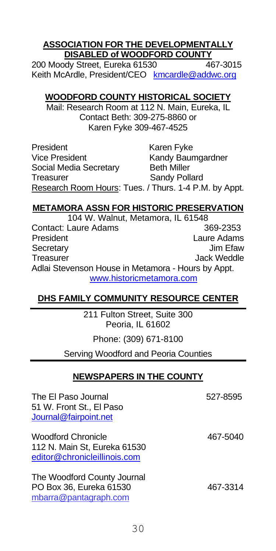#### **ASSOCIATION FOR THE DEVELOPMENTALLY DISABLED of WOODFORD COUNTY**

200 Moody Street, Eureka 61530 467-3015 Keith McArdle, President/CEO kmcardle@addwc.org

#### **WOODFORD COUNTY HISTORICAL SOCIETY**

Mail: Research Room at 112 N. Main, Eureka, IL Contact Beth: 309-275-8860 or Karen Fyke 309-467-4525

President Karen Fyke Vice President Kandy Baumgardner Social Media Secretary Beth Miller Treasurer Sandy Pollard Research Room Hours: Tues. / Thurs. 1-4 P.M. by Appt.

### **METAMORA ASSN FOR HISTORIC PRESERVATION**

104 W. Walnut, Metamora, IL 61548 Contact: Laure Adams 369-2353 President Laure Adams Secretary Treasurer **Internal Contract Contract Contract Contract Contract Contract Contract Contract Contract Contract Contract Contract Contract Contract Contract Contract Contract Contract Contract Contract Contract Contract Cont** Adlai Stevenson House in Metamora - Hours by Appt. [www.historicmetamora.com](http://www.historicmetamora.com/)

## **DHS FAMILY COMMUNITY RESOURCE CENTER**

211 Fulton Street, Suite 300 Peoria, IL 61602

Phone: (309) 671-8100

Serving Woodford and Peoria Counties

#### **NEWSPAPERS IN THE COUNTY**

The El Paso Journal 527-8595 51 W. Front St., El Paso [Journal@fairpoint.net](mailto:Journal@fairpoint.net)

Woodford Chronicle 467-5040 112 N. Main St, Eureka 61530 [editor@chronicleillinois.com](mailto:editor@chronicleillinois.com)

The Woodford County Journal PO Box 36, Eureka 61530 467-3314 mbarra@pantagraph.com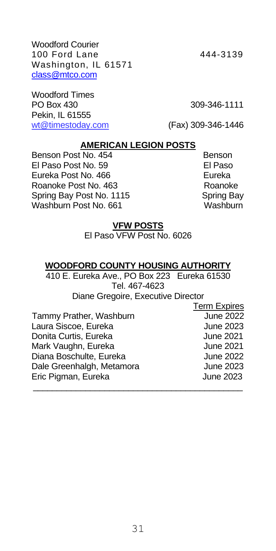Woodford Courier 100 Ford Lane 444-3139 Washington, IL 61571 class@mtco.com

Woodford Times PO Box 430 309-346-1111 Pekin, IL 61555 wt@timestoday.com (Fax) 309-346-1446

#### **AMERICAN LEGION POSTS**

Benson Post No. 454 Benson<br>El Paso Post No. 59 Benson Bull Paso El Paso Post No. 59 Eureka Post No. 466 **Eureka** Roanoke Post No. 463 Roanoke Spring Bay Post No. 1115 Spring Bay Washburn Post No. 661

#### **VFW POSTS**

El Paso VFW Post No. 6026

#### **WOODFORD COUNTY HOUSING AUTHORITY**

410 E. Eureka Ave., PO Box 223 Eureka 61530 Tel. 467-4623 Diane Gregoire, Executive Director

\_\_\_\_\_\_\_\_\_\_\_\_\_\_\_\_\_\_\_\_\_\_\_\_\_\_\_\_\_\_\_\_\_\_\_\_\_\_\_\_\_\_\_\_

Tammy Prather, Washburn Laura Siscoe, Eureka **June 2023** Donita Curtis, Eureka **June 2021** Mark Vaughn, Eureka<br>Diana Boschulte, Eureka Juliume 2021 Diana Boschulte, Eureka Dale Greenhalgh, Metamora **June 2023** Eric Pigman, Eureka June 2023

Term Expires<br>June 2022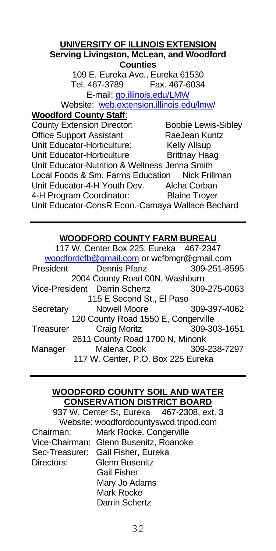#### **UNIVERSITY OF ILLINOIS EXTENSION Serving Livingston, McLean, and Woodford Counties**

109 E. Eureka Ave., Eureka 61530 Tel. 467-3789 Fax. 467-6034 E-mail[: go.illinois.edu/LMW](file://///wcapps-01/cntyclerk/County%20Boards/County%20Yearbook/go.illinois.edu/LMW)

Website: [web.extension.illinois.edu/lmw/](http://www.extension.illinois.edu/lmw)

## **Woodford County Staff**:

County Extension Director: Bobbie Lewis-Sibley Office Support Assistant RaeJean Kuntz Unit Educator-Horticulture: Kelly Allsup Unit Educator-Horticulture Brittnay Haag Unit Educator-Nutrition & Wellness Jenna Smith Local Foods & Sm. Farms Education Nick Frillman Unit Educator-4-H Youth Dev. Alcha Corban 4-H Program Coordinator: Blaine Troyer Unit Educator-ConsR Econ.-Camaya Wallace Bechard

## **WOODFORD COUNTY FARM BUREAU**

|           | 117 W. Center Box 225, Eureka 467-2347     |              |
|-----------|--------------------------------------------|--------------|
|           | woodfordcfb@gmail.com or wcfbmgr@gmail.com |              |
|           | President Dennis Pfanz 309-251-8595        |              |
|           | 2004 County Road 00N, Washburn             |              |
|           | Vice-President Darrin Schertz 309-275-0063 |              |
|           | 115 E Second St., El Paso                  |              |
| Secretary | Nowell Moore 309-397-4062                  |              |
|           | 120 County Road 1550 E, Congerville        |              |
| Treasurer | Craig Moritz                               | 309-303-1651 |
|           | 2611 County Road 1700 N, Minonk            |              |
| Manager   | Malena Cook                                | 309-238-7297 |
|           | 117 W. Center, P.O. Box 225 Eureka         |              |
|           |                                            |              |

#### **WOODFORD COUNTY SOIL AND WATER CONSERVATION DISTRICT BOARD**

|            |                                        | 937 W. Center St, Eureka 467-2308, ext. 3 |
|------------|----------------------------------------|-------------------------------------------|
|            | Website: woodfordcountyswcd.tripod.com |                                           |
| Chairman:  | Mark Rocke, Congerville                |                                           |
|            | Vice-Chairman: Glenn Busenitz, Roanoke |                                           |
|            | Sec-Treasurer: Gail Fisher, Eureka     |                                           |
| Directors: | Glenn Busenitz                         |                                           |
|            | Gail Fisher                            |                                           |
|            | Mary Jo Adams                          |                                           |
|            | Mark Rocke                             |                                           |
|            | Darrin Schertz                         |                                           |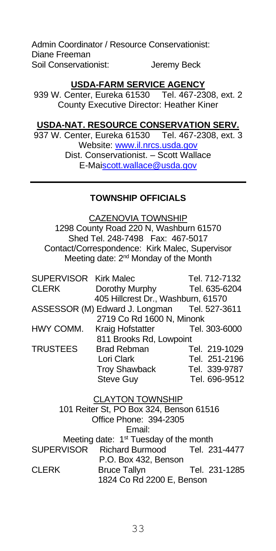Admin Coordinator / Resource Conservationist: Diane Freeman Soil Conservationist: Jeremy Beck

#### **USDA-FARM SERVICE AGENCY**

939 W. Center, Eureka 61530 Tel. 467-2308, ext. 2 County Executive Director: Heather Kiner

#### **USDA-NAT. RESOURCE CONSERVATION SERV.**

937 W. Center, Eureka 61530 Tel. 467-2308, ext. 3 Website: [www.il.nrcs.usda.gov](http://www.il.nrcs.usda.gov/) Dist. Conservationist. – Scott Wallace E-M[aiscott.wallace@usda.gov](mailto:scott.wallace@usda.gov)

#### **TOWNSHIP OFFICIALS**

CAZENOVIA TOWNSHIP 1298 County Road 220 N, Washburn 61570 Shed Tel. 248-7498 Fax: 467-5017 Contact/Correspondence: Kirk Malec, Supervisor Meeting date: 2<sup>nd</sup> Monday of the Month

| SUPERVISOR Kirk Malec                        | Tel. 712-7132 |
|----------------------------------------------|---------------|
| Dorothy Murphy                               | Tel. 635-6204 |
| 405 Hillcrest Dr., Washburn, 61570           |               |
| ASSESSOR (M) Edward J. Longman Tel. 527-3611 |               |
| 2719 Co Rd 1600 N, Minonk                    |               |
| Kraig Hofstatter                             | Tel. 303-6000 |
| 811 Brooks Rd, Lowpoint                      |               |
| <b>Brad Rebman</b>                           | Tel. 219-1029 |
| Lori Clark                                   | Tel. 251-2196 |
| <b>Troy Shawback</b>                         | Tel. 339-9787 |
| Steve Guy                                    | Tel. 696-9512 |
|                                              |               |

CLAYTON TOWNSHIP 101 Reiter St, PO Box 324, Benson 61516 Office Phone: 394-2305 Email: Meeting date: 1<sup>st</sup> Tuesday of the month SUPERVISOR Richard Burmood Tel. 231-4477 P.O. Box 432, Benson<br>CLERK Bruce Tallyn Bruce Tallyn Tel. 231-1285 1824 Co Rd 2200 E, Benson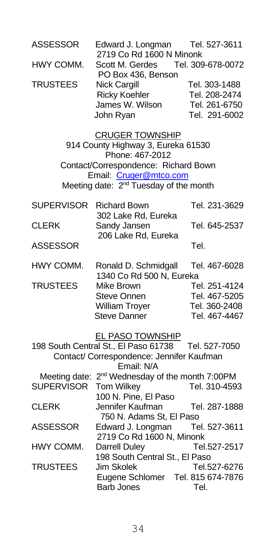| <b>ASSESSOR</b>                    | Edward J. Longman<br>2719 Co Rd 1600 N Minonk                                                                                                                                                           | Tel. 527-3611                                                                     |
|------------------------------------|---------------------------------------------------------------------------------------------------------------------------------------------------------------------------------------------------------|-----------------------------------------------------------------------------------|
| HWY COMM.                          | Scott M. Gerdes<br>PO Box 436, Benson                                                                                                                                                                   | Tel. 309-678-0072                                                                 |
| <b>TRUSTEES</b>                    | Nick Cargill<br><b>Ricky Koehler</b><br>James W. Wilson<br>John Ryan                                                                                                                                    | Tel. 303-1488<br>Tel. 208-2474<br>Tel. 261-6750<br>Tel. 291-6002                  |
|                                    | <b>CRUGER TOWNSHIP</b><br>914 County Highway 3, Eureka 61530<br>Phone: 467-2012<br>Contact/Correspondence: Richard Bown<br>Email: Cruger@mtco.com<br>Meeting date: 2 <sup>nd</sup> Tuesday of the month |                                                                                   |
| <b>SUPERVISOR</b>                  | <b>Richard Bown</b><br>302 Lake Rd, Eureka                                                                                                                                                              | Tel. 231-3629                                                                     |
| CLERK                              | Sandy Jansen<br>206 Lake Rd, Eureka                                                                                                                                                                     | Tel. 645-2537                                                                     |
| <b>ASSESSOR</b>                    |                                                                                                                                                                                                         | Tel.                                                                              |
| HWY COMM.<br><b>TRUSTEES</b>       | Ronald D. Schmidgall<br>1340 Co Rd 500 N, Eureka<br>Mike Brown<br><b>Steve Onnen</b><br><b>William Troyer</b><br>Steve Danner                                                                           | Tel. 467-6028<br>Tel. 251-4124<br>Tel. 467-5205<br>Tel. 360-2408<br>Tel. 467-4467 |
|                                    | <b>EL PASO TOWNSHIP</b><br>198 South Central St., El Paso 61738<br>Contact/ Correspondence: Jennifer Kaufman<br>Email: N/A                                                                              | Tel. 527-7050                                                                     |
| Meeting date:<br><b>SUPERVISOR</b> | 2 <sup>nd</sup> Wednesday of the month 7:00PM<br>Tom Wilkey<br>100 N. Pine, El Paso                                                                                                                     | Tel. 310-4593                                                                     |
| CLERK                              | Jennifer Kaufman<br>750 N. Adams St, El Paso                                                                                                                                                            | Tel. 287-1888                                                                     |
| <b>ASSESSOR</b>                    | Edward J. Longman<br>2719 Co Rd 1600 N, Minonk                                                                                                                                                          | Tel. 527-3611                                                                     |
| HWY COMM.                          | Darrell Duley<br>198 South Central St., El Paso                                                                                                                                                         | Tel.527-2517                                                                      |
| <b>TRUSTEES</b>                    | Jim Skolek<br>Eugene Schlomer<br><b>Barb Jones</b>                                                                                                                                                      | Tel.527-6276<br>Tel. 815 674-7876<br>Tel.                                         |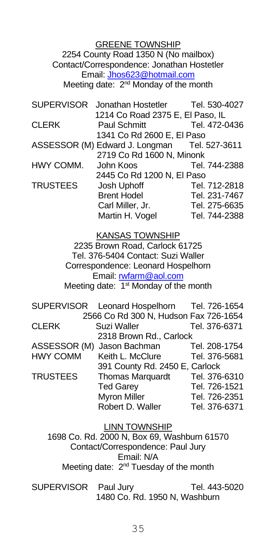GREENE TOWNSHIP 2254 County Road 1350 N (No mailbox) Contact/Correspondence: Jonathan Hostetler Email: [Jhos623@hotmail.com](mailto:Jhos623@hotmail.com) Meeting date: 2<sup>nd</sup> Monday of the month

|                 | SUPERVISOR Jonathan Hostetler Tel. 530-4027  |               |
|-----------------|----------------------------------------------|---------------|
|                 | 1214 Co Road 2375 E, El Paso, IL             |               |
| <b>CLERK</b>    | Paul Schmitt                                 | Tel. 472-0436 |
|                 | 1341 Co Rd 2600 E, El Paso                   |               |
|                 | ASSESSOR (M) Edward J. Longman Tel. 527-3611 |               |
|                 | 2719 Co Rd 1600 N, Minonk                    |               |
| HWY COMM.       | John Koos                                    | Tel. 744-2388 |
|                 | 2445 Co Rd 1200 N. El Paso                   |               |
| <b>TRUSTEES</b> | Josh Uphoff                                  | Tel. 712-2818 |
|                 | <b>Brent Hodel</b>                           | Tel. 231-7467 |
|                 | Carl Miller, Jr.                             | Tel. 275-6635 |
|                 | Martin H. Vogel                              | Tel. 744-2388 |
|                 |                                              |               |

KANSAS TOWNSHIP 2235 Brown Road, Carlock 61725 Tel. 376-5404 Contact: Suzi Waller Correspondence: Leonard Hospelhorn Email: [rwfarm@aol.com](mailto:rwfarm@aol.com) Meeting date: 1<sup>st</sup> Monday of the month

|                 | SUPERVISOR Leonard Hospelhorn Tel. 726-1654 |               |
|-----------------|---------------------------------------------|---------------|
|                 | 2566 Co Rd 300 N, Hudson Fax 726-1654       |               |
| <b>CLERK</b>    | Suzi Waller                                 | Tel. 376-6371 |
|                 | 2318 Brown Rd., Carlock                     |               |
|                 | ASSESSOR (M) Jason Bachman                  | Tel. 208-1754 |
| <b>HWY COMM</b> | Keith L. McClure                            | Tel. 376-5681 |
|                 | 391 County Rd. 2450 E, Carlock              |               |
| <b>TRUSTEES</b> | Thomas Marquardt                            | Tel. 376-6310 |
|                 | <b>Ted Garev</b>                            | Tel. 726-1521 |
|                 | <b>Myron Miller</b>                         | Tel. 726-2351 |
|                 | Robert D. Waller                            | Tel. 376-6371 |

#### LINN TOWNSHIP

1698 Co. Rd. 2000 N, Box 69, Washburn 61570 Contact/Correspondence: Paul Jury Email: N/A Meeting date: 2<sup>nd</sup> Tuesday of the month

SUPERVISOR Paul Jury Tel. 443-5020 1480 Co. Rd. 1950 N, Washburn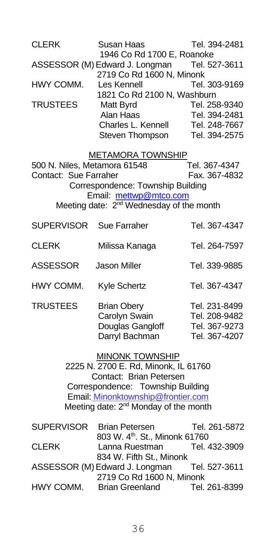| CLERK                                                 | Susan Haas<br>1946 Co Rd 1700 E, Roanoke                                                                                                                                                                                  | Tel. 394-2481                                                    |
|-------------------------------------------------------|---------------------------------------------------------------------------------------------------------------------------------------------------------------------------------------------------------------------------|------------------------------------------------------------------|
|                                                       | ASSESSOR (M) Edward J. Longman Tel. 527-3611<br>2719 Co Rd 1600 N, Minonk                                                                                                                                                 |                                                                  |
| HWY COMM.                                             | Les Kennell                                                                                                                                                                                                               | Tel. 303-9169                                                    |
| <b>TRUSTEES</b>                                       | 1821 Co Rd 2100 N, Washburn<br>Matt Byrd<br>Alan Haas<br>Charles L. Kennell<br>Steven Thompson                                                                                                                            | Tel. 258-9340<br>Tel. 394-2481<br>Tel. 248-7667<br>Tel. 394-2575 |
| 500 N. Niles, Metamora 61548<br>Contact: Sue Farraher | <b>METAMORA TOWNSHIP</b><br>Correspondence: Township Building<br>Email: mettwp@mtco.com<br>Meeting date: 2 <sup>nd</sup> Wednesday of the month                                                                           | Tel. 367-4347<br>Fax. 367-4832                                   |
| SUPERVISOR                                            | Sue Farraher                                                                                                                                                                                                              | Tel. 367-4347                                                    |
| CLERK                                                 | Milissa Kanaga                                                                                                                                                                                                            | Tel. 264-7597                                                    |
| <b>ASSESSOR</b>                                       | <b>Jason Miller</b>                                                                                                                                                                                                       | Tel. 339-9885                                                    |
| HWY COMM.                                             | Kyle Schertz                                                                                                                                                                                                              | Tel. 367-4347                                                    |
| <b>TRUSTEES</b>                                       | <b>Brian Obery</b><br>Carolyn Swain<br>Douglas Gangloff<br>Darryl Bachman                                                                                                                                                 | Tel. 231-8499<br>Tel. 208-9482<br>Tel. 367-9273<br>Tel. 367-4207 |
|                                                       | <b>MINONK TOWNSHIP</b><br>2225 N. 2700 E. Rd, Minonk, IL 61760<br>Contact: Brian Petersen<br>Correspondence: Township Building<br>Email: Minonktownship@frontier.com<br>Meeting date: 2 <sup>nd</sup> Monday of the month |                                                                  |
| <b>SUPERVISOR</b>                                     | <b>Brian Petersen</b><br>803 W. 4 <sup>th</sup> . St., Minonk 61760                                                                                                                                                       | Tel. 261-5872                                                    |
| <b>CLERK</b>                                          | Lanna Ruestman<br>834 W. Fifth St., Minonk                                                                                                                                                                                | Tel. 432-3909                                                    |
|                                                       | ASSESSOR (M) Edward J. Longman<br>2719 Co Rd 1600 N, Minonk                                                                                                                                                               | Tel. 527-3611                                                    |
| HWY COMM.                                             | <b>Brian Greenland</b>                                                                                                                                                                                                    | Tel. 261-8399                                                    |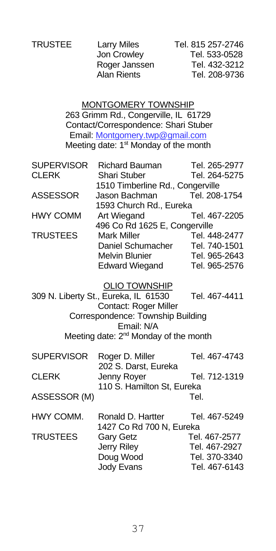Jon Crowley

TRUSTEE Larry Miles Tel. 815 257-2746<br>Jon Crowley Tel. 533-0528 Roger Janssen Tel. 432-3212 Alan Rients Tel. 208-9736

> MONTGOMERY TOWNSHIP 263 Grimm Rd., Congerville, IL 61729 Contact/Correspondence: Shari Stuber Email: Montgomery.twp@gmail.com Meeting date: 1<sup>st</sup> Monday of the month

| Richard Bauman                   | Tel. 265-2977 |
|----------------------------------|---------------|
| Shari Stuber                     | Tel. 264-5275 |
| 1510 Timberline Rd., Congerville |               |
| Jason Bachman                    | Tel. 208-1754 |
| 1593 Church Rd., Eureka          |               |
| Art Wiegand                      | Tel. 467-2205 |
| 496 Co Rd 1625 E, Congerville    |               |
| <b>Mark Miller</b>               | Tel. 448-2477 |
| Daniel Schumacher                | Tel. 740-1501 |
| <b>Melvin Blunier</b>            | Tel. 965-2643 |
| <b>Edward Wiegand</b>            | Tel. 965-2576 |
|                                  |               |

OLIO TOWNSHIP

309 N. Liberty St., Eureka, IL 61530 Tel. 467-4411 Contact: Roger Miller Correspondence: Township Building Email: N/A Meeting date: 2<sup>nd</sup> Monday of the month

| <b>SUPERVISOR</b> | Roger D. Miller            | Tel. 467-4743 |
|-------------------|----------------------------|---------------|
|                   | 202 S. Darst. Eureka       |               |
| <b>CLERK</b>      | Jenny Royer                | Tel. 712-1319 |
|                   | 110 S. Hamilton St. Eureka |               |
| ASSESSOR (M)      |                            | Tel.          |

| HWY COMM.       | Ronald D. Hartter        | Tel. 467-5249 |
|-----------------|--------------------------|---------------|
|                 | 1427 Co Rd 700 N. Eureka |               |
| <b>TRUSTEES</b> | Gary Getz                | Tel. 467-2577 |
|                 | Jerry Riley              | Tel. 467-2927 |
|                 | Doug Wood                | Tel. 370-3340 |
|                 | Jody Evans               | Tel. 467-6143 |
|                 |                          |               |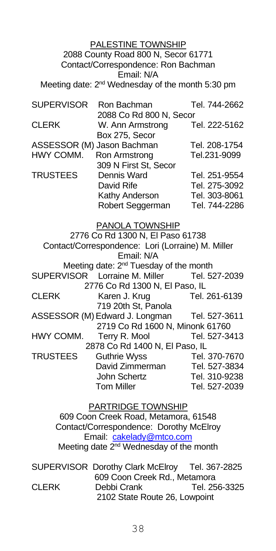#### PALESTINE TOWNSHIP 2088 County Road 800 N, Secor 61771 Contact/Correspondence: Ron Bachman Email: N/A Meeting date: 2<sup>nd</sup> Wednesday of the month 5:30 pm

| <b>SUPERVISOR</b> | Ron Bachman                | Tel. 744-2662 |
|-------------------|----------------------------|---------------|
|                   | 2088 Co Rd 800 N, Secor    |               |
| <b>CLERK</b>      | W. Ann Armstrong           | Tel. 222-5162 |
|                   | Box 275, Secor             |               |
|                   | ASSESSOR (M) Jason Bachman | Tel. 208-1754 |
| HWY COMM.         | Ron Armstrong              | Tel.231-9099  |
|                   | 309 N First St, Secor      |               |
| <b>TRUSTEES</b>   | Dennis Ward                | Tel. 251-9554 |
|                   | David Rife                 | Tel. 275-3092 |
|                   | Kathy Anderson             | Tel. 303-8061 |
|                   | Robert Seggerman           | Tel. 744-2286 |

PANOLA TOWNSHIP

2776 Co Rd 1300 N, El Paso 61738 Contact/Correspondence: Lori (Lorraine) M. Miller Email: N/A Meeting date: 2<sup>nd</sup> Tuesday of the month SUPERVISOR Lorraine M. Miller Tel. 527-2039 2776 Co Rd 1300 N, El Paso, IL CLERK Karen J. Krug Tel. 261-6139 719 20th St, Panola ASSESSOR (M) Edward J. Longman Tel. 527-3611 2719 Co Rd 1600 N, Minonk 61760 HWY COMM. Terry R. Mool Tel. 527-3413 2878 Co Rd 1400 N, El Paso, IL<br>120-7670 TRUSTEES Guthrie Wyss Tel 370-7670 Guthrie Wyss David Zimmerman Tel. 527-3834 John Schertz<br>Tel. 310-9238<br>Tom Miller Tel. 527-2039 Tel. 527-2039

> PARTRIDGE TOWNSHIP 609 Coon Creek Road, Metamora, 61548 Contact/Correspondence: Dorothy McElroy Email: [cakelady@mtco.com](mailto:cakelady@mtco.com) Meeting date 2<sup>nd</sup> Wednesday of the month

SUPERVISOR Dorothy Clark McElroy Tel. 367-2825 609 Coon Creek Rd., Metamora CLERK Debbi Crank Tel. 256-3325 2102 State Route 26, Lowpoint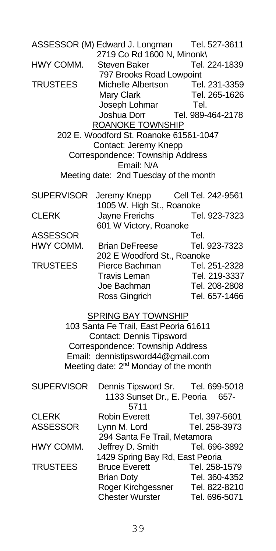ASSESSOR (M) Edward J. Longman Tel. 527-3611 2719 Co Rd 1600 N, Minonk\ HWY COMM. Steven Baker Tel. 224-1839 797 Brooks Road Lowpoint TRUSTEES Michelle Albertson Tel. 231-3359 Mary Clark Tel. 265-1626 Joseph Lohmar Tel. Joshua Dorr Tel. 989-464-2178 ROANOKE TOWNSHIP 202 E. Woodford St, Roanoke 61561-1047 Contact: Jeremy Knepp Correspondence: Township Address Email: N/A Meeting date: 2nd Tuesday of the month SUPERVISOR Jeremy Knepp Cell Tel. 242-9561 1005 W. High St., Roanoke CLERK Jayne Frerichs Tel. 923-7323 601 W Victory, Roanoke ASSESSOR Tel. HWY COMM. Brian DeFreese Tel. 923-7323 202 E Woodford St., Roanoke TRUSTEES Pierce Bachman Tel. 251-2328 Travis Leman Tel. 219-3337 Joe Bachman Tel. 208-2808 Ross Gingrich Tel. 657-1466 SPRING BAY TOWNSHIP 103 Santa Fe Trail, East Peoria 61611 Contact: Dennis Tipsword Correspondence: Township Address Email: dennistipsword44@gmail.com Meeting date: 2<sup>nd</sup> Monday of the month SUPERVISOR Dennis Tipsword Sr. Tel. 699-5018 1133 Sunset Dr., E. Peoria 657- 5711 CLERK Robin Everett Tel. 397-5601 ASSESSOR Lynn M. Lord Tel. 258-3973 294 Santa Fe Trail, Metamora HWY COMM. Jeffrey D. Smith Tel. 696-3892 1429 Spring Bay Rd, East Peoria<br>Bruce Everett Free Tel. 258-TRUSTEES Bruce Everett Tel. 258-1579 Brian Doty Tel. 360-4352 Roger Kirchgessner Tel. 822-8210 Chester Wurster Tel. 696-5071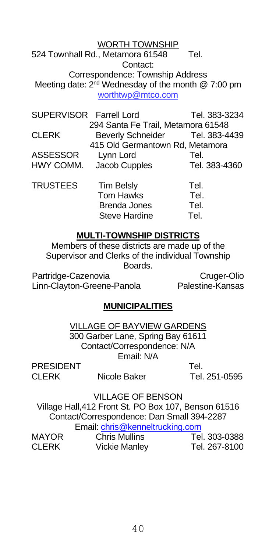WORTH TOWNSHIP 524 Townhall Rd., Metamora 61548 Tel. Contact: Correspondence: Township Address Meeting date: 2<sup>nd</sup> Wednesday of the month @ 7:00 pm worthtwp@mtco.com

| SUPERVISOR Farrell Lord |                                    | Tel. 383-3234 |
|-------------------------|------------------------------------|---------------|
|                         | 294 Santa Fe Trail, Metamora 61548 |               |
| <b>CLERK</b>            | Beverly Schneider Tel. 383-4439    |               |
|                         | 415 Old Germantown Rd, Metamora    |               |
| ASSESSOR                | Lynn Lord                          | Tel.          |
| HWY COMM.               | Jacob Cupples                      | Tel. 383-4360 |
| <b>TRUSTEES</b>         | <b>Tim Belsly</b>                  | Tel.          |
|                         | Tom Hawks                          | Tel.          |
|                         | <b>Brenda Jones</b>                | Tel.          |
|                         | <b>Steve Hardine</b>               | Tel.          |

#### **MULTI-TOWNSHIP DISTRICTS**

Members of these districts are made up of the Supervisor and Clerks of the individual Township Boards.

Partridge-Cazenovia Cruger-Olio Linn-Clayton-Greene-Panola Palestine-Kansas

#### **MUNICIPALITIES**

VILLAGE OF BAYVIEW GARDENS 300 Garber Lane, Spring Bay 61611 Contact/Correspondence: N/A Email: N/A

PRESIDENT Tel.

CLERK Nicole Baker Tel. 251-0595

#### VILLAGE OF BENSON

Village Hall,412 Front St. PO Box 107, Benson 61516 Contact/Correspondence: Dan Small 394-2287 Email: [chris@kenneltrucking.com](mailto:chris@kenneltrucking.com)<br>Chris Mullipe  $MAYOP$  Chris Mulling

| <b>IVIA I UR</b> | <b>CALIS MUILLIS</b> | TEI. 303-0300 |
|------------------|----------------------|---------------|
| CLERK            | <b>Vickie Manley</b> | Tel. 267-8100 |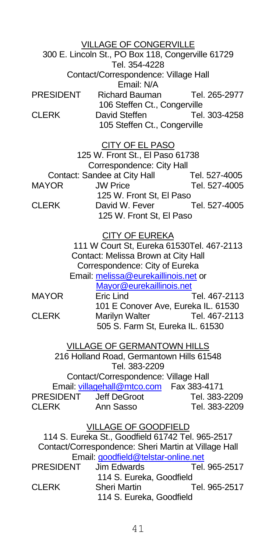VILLAGE OF CONGERVILLE 300 E. Lincoln St., PO Box 118, Congerville 61729 Tel. 354-4228 Contact/Correspondence: Village Hall Email: N/A PRESIDENT Richard Bauman Tel. 265-2977 106 Steffen Ct., Congerville CLERK David Steffen Tel. 303-4258 105 Steffen Ct., Congerville CITY OF EL PASO

125 W. Front St., El Paso 61738 Correspondence: City Hall Contact: Sandee at City Hall Tel. 527-4005 MAYOR JW Price Tel. 527-4005 125 W. Front St, El Paso<br>David W. Fever [1527-4005] CLERK David W. Fever 125 W. Front St, El Paso

CITY OF EUREKA 111 W Court St, Eureka 61530Tel. 467-2113 Contact: Melissa Brown at City Hall Correspondence: City of Eureka Email[: melissa@eurekaillinois.net](mailto:melissa@eurekaillinois.net) or [Mayor@eurekaillinois.net](mailto:Mayor@eurekaillinois.net) MAYOR Eric Lind Tel. 467-2113 101 E Conover Ave, Eureka IL. 61530<br>CLERK Marilyn Walter Tel. 467-2113 Marilyn Walter

 505 S. Farm St, Eureka IL. 61530 VILLAGE OF GERMANTOWN HILLS 216 Holland Road, Germantown Hills 61548 Tel. 383-2209 Contact/Correspondence: Village Hall Email: <u>villagehall@mtco.com</u> Fax 383-4171<br>PRESIDENT .leff DeGroot Tel 383-Tel. 383-2209 CLERK Ann Sasso Tel. 383-2209

#### VILLAGE OF GOODFIELD 114 S. Eureka St., Goodfield 61742 Tel. 965-2517 Contact/Correspondence: Sheri Martin at Village Hall Email: *[goodfield@telstar-online.net](mailto:goodfield@telstar-online.net)*<br>PRESIDENT Jim Edwards Tel. 965-2517 Jim Edwards 114 S. Eureka, Goodfield CLERK Sheri Martin Tel. 965-2517 114 S. Eureka, Goodfield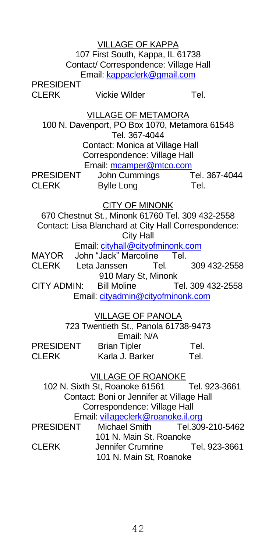VILLAGE OF KAPPA 107 First South, Kappa, IL 61738 Contact/ Correspondence: Village Hall Email[: kappaclerk@gmail.com](mailto:kappaclerk@gmail.com)

PRESIDENT<br>CLERK

Vickie Wilder **Tel.** 

VILLAGE OF METAMORA

100 N. Davenport, PO Box 1070, Metamora 61548 Tel. 367-4044 Contact: Monica at Village Hall Correspondence: Village Hall Email[: mcamper@mtco.com](mailto:mcamper@mtco.com)

PRESIDENT John Cummings Tel. 367-4044 CLERK Bylle Long Tel.

CITY OF MINONK

670 Chestnut St., Minonk 61760 Tel. 309 432-2558 Contact: Lisa Blanchard at City Hall Correspondence: City Hall Email: [cityhall@cityofminonk.com](mailto:cityhall@cityofminonk.com)

MAYOR John "Jack" Marcoline Tel. CLERK Leta Janssen Tel. 309 432-2558 910 Mary St, Minonk

CITY ADMIN: Bill Moline Tel. 309 432-2558 Email: [cityadmin@cityofminonk.com](mailto:cityadmin@cityofminonk.com)

VILLAGE OF PANOLA 723 Twentieth St., Panola 61738-9473 Email: N/A **PRESIDENT** Brian Tipler Tel.<br>CLERK Karla J Barker Tel. Karla J. Barker

## VILLAGE OF ROANOKE

 102 N. Sixth St, Roanoke 61561 Tel. 923-3661 Contact: Boni or Jennifer at Village Hall Correspondence: Village Hall Email: villageclerk@roanoke.il.org PRESIDENT Michael Smith Tel.309-210-5462

101 N. Main St. Roanoke CLERK Jennifer Crumrine Tel. 923-3661 101 N. Main St, Roanoke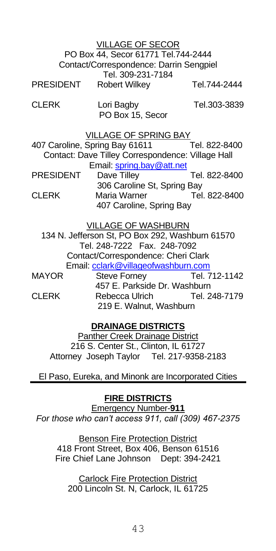| <b>VILLAGE OF SECOR</b>                 |                      |              |
|-----------------------------------------|----------------------|--------------|
| PO Box 44, Secor 61771 Tel.744-2444     |                      |              |
| Contact/Correspondence: Darrin Sengpiel |                      |              |
| Tel. 309-231-7184                       |                      |              |
| <b>PRESIDENT</b>                        | <b>Robert Wilkey</b> | Tel.744-2444 |
|                                         |                      |              |

CLERK Lori Bagby Tel.303-3839 PO Box 15, Secor

#### VILLAGE OF SPRING BAY

407 Caroline, Spring Bay 61611 Tel. 822-8400 Contact: Dave Tilley Correspondence: Village Hall Email[: spring.bay@att.net](file://///wcapps-01/cntyclerk/County%20Boards/County%20Yearbook/spring.bay@att.net)

PRESIDENT Dave Tilley Tel. 822-8400 306 Caroline St, Spring Bay<br>Maria Warner [15] Tel. 822-8400 CLERK Maria Warner 407 Caroline, Spring Bay

VILLAGE OF WASHBURN

134 N. Jefferson St, PO Box 292, Washburn 61570 Tel. 248-7222 Fax. 248-7092 Contact/Correspondence: Cheri Clark Email: colark@villageofwashburn.com<br>Steve Forney Tel. 712-1142 MAYOR Steve Forney

457 E. Parkside Dr. Washburn CLERK Rebecca Ulrich Tel. 248-7179 219 E. Walnut, Washburn

#### **DRAINAGE DISTRICTS**

Panther Creek Drainage District 216 S. Center St., Clinton, IL 61727 Attorney Joseph Taylor Tel. 217-9358-2183

El Paso, Eureka, and Minonk are Incorporated Cities

#### **FIRE DISTRICTS**

Emergency Number-**911** *For those who can't access 911, call (309) 467-2375*

**Benson Fire Protection District** 418 Front Street, Box 406, Benson 61516 Fire Chief Lane Johnson Dept: 394-2421

Carlock Fire Protection District 200 Lincoln St. N, Carlock, IL 61725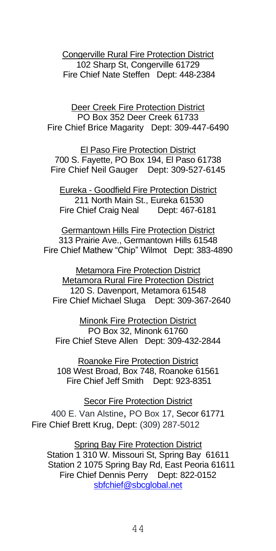Congerville Rural Fire Protection District 102 Sharp St, Congerville 61729 Fire Chief Nate Steffen Dept: 448-2384

Deer Creek Fire Protection District PO Box 352 Deer Creek 61733 Fire Chief Brice Magarity Dept: 309-447-6490

El Paso Fire Protection District 700 S. Fayette, PO Box 194, El Paso 61738 Fire Chief Neil Gauger Dept: 309-527-6145

Eureka - Goodfield Fire Protection District 211 North Main St., Eureka 61530 Fire Chief Craig Neal Dept: 467-6181

Germantown Hills Fire Protection District 313 Prairie Ave., Germantown Hills 61548 Fire Chief Mathew "Chip" Wilmot Dept: 383-4890

Metamora Fire Protection District Metamora Rural Fire Protection District 120 S. Davenport, Metamora 61548 Fire Chief Michael Sluga Dept: 309-367-2640

Minonk Fire Protection District PO Box 32, Minonk 61760 Fire Chief Steve Allen Dept: 309-432-2844

Roanoke Fire Protection District 108 West Broad, Box 748, Roanoke 61561 Fire Chief Jeff Smith Dept: 923-8351

Secor Fire Protection District 400 E. Van Alstine, PO Box 17, Secor 61771 Fire Chief Brett Krug, Dept: (309) 287-5012

Spring Bay Fire Protection District Station 1 310 W. Missouri St, Spring Bay 61611 Station 2 1075 Spring Bay Rd, East Peoria 61611 Fire Chief Dennis Perry Dept: 822-0152 [sbfchief@sbcglobal.net](mailto:sbfchief@sbcglobal.net)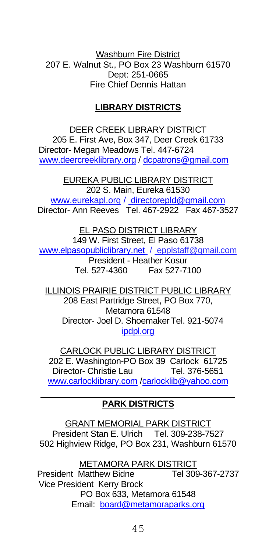Washburn Fire District 207 E. Walnut St., PO Box 23 Washburn 61570 Dept: 251-0665 Fire Chief Dennis Hattan

## **LIBRARY DISTRICTS**

DEER CREEK LIBRARY DISTRICT 205 E. First Ave, Box 347, Deer Creek 61733 Director- Megan Meadows Tel. 447-6724 [www.deercreeklibrary.org](http://www.deercreeklibrary.org/) [/ dcpatrons@gmail.com](mailto:dcpatrons@gmail.com)

EUREKA PUBLIC LIBRARY DISTRICT 202 S. Main, Eureka 61530 [www.eurekapl.org](http://www.eurekapl.org/) / directorepld@gmail.com Director- Ann Reeves Tel. 467-2922 Fax 467-3527

EL PASO DISTRICT LIBRARY 149 W. First Street, El Paso 61738 [www.elpasopubliclibrary.net](http://www.elpasopubliclibrary.net/) / epplstaff@gmail.com President - Heather Kosur Tel. 527-4360 Fax 527-7100

ILLINOIS PRAIRIE DISTRICT PUBLIC LIBRARY 208 East Partridge Street, PO Box 770, Metamora 61548 Director- Joel D. ShoemakerTel. 921-5074 [ipdpl.org](mailto:ipdpl@mtco.com)

CARLOCK PUBLIC LIBRARY DISTRICT 202 E. Washington-PO Box 39 Carlock 61725 Director- Christie Lau [www.carlocklibrary.com](http://www.carlocklibrary.com/) [/carlocklib@yahoo.com](mailto:carlocklib@yahoo.com) **\_\_\_\_\_\_\_\_\_\_\_\_\_\_\_\_\_\_\_\_\_\_\_\_\_\_\_\_\_\_**

## **PARK DISTRICTS**

GRANT MEMORIAL PARK DISTRICT President Stan E. Ulrich Tel. 309-238-7527 502 Highview Ridge, PO Box 231, Washburn 61570

METAMORA PARK DISTRICT President Matthew Bidne Tel 309-367-2737 Vice President Kerry Brock PO Box 633, Metamora 61548 Email: [board@metamoraparks.org](mailto:board@metamoraparks.org)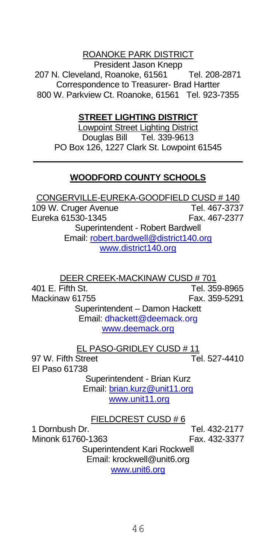#### ROANOKE PARK DISTRICT

President Jason Knepp 207 N. Cleveland, Roanoke, 61561 Tel. 208-2871 Correspondence to Treasurer- Brad Hartter 800 W. Parkview Ct. Roanoke, 61561 Tel. 923-7355

#### **STREET LIGHTING DISTRICT**

Lowpoint Street Lighting District Douglas Bill Tel. 339-9613 PO Box 126, 1227 Clark St. Lowpoint 61545

## **\_\_\_\_\_\_\_\_\_\_\_\_\_\_\_\_\_\_\_\_\_\_\_\_\_\_\_\_\_\_\_\_\_\_\_\_\_\_\_\_\_\_\_\_ WOODFORD COUNTY SCHOOLS**

CONGERVILLE-EUREKA-GOODFIELD CUSD # 140 109 W. Cruger Avenue Tel. 467-3737 Eureka 61530-1345 Fax. 467-2377 Superintendent - Robert Bardwell Email: [robert.bardwell@district140.org](mailto:robert.bardwell@district140.org) www.district140.org

<u>DEER CREEK-MACKINAW CUSD # 701</u><br>401 F Fifth St **Tel 35** Tel. 359-8965<br>Fax. 359-5291 Mackinaw 61755 Superintendent – Damon Hackett Email: dhackett@deemack.org www.deemack.org

EL PASO-GRIDLEY CUSD # 11 97 W. Fifth Street Tel. 527-4410 El Paso 61738 Superintendent - Brian Kurz Email: [brian.kurz@unit11.org](mailto:brian.kurz@unit11.org) www.unit11.org FIELDCREST CUSD # 6

1 Dornbush Dr. Tel. 432-2177 Minonk 61760-1363 Superintendent Kari Rockwell Email: krockwell@unit6.org www.unit6.org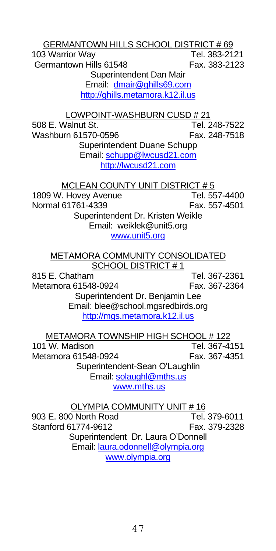GERMANTOWN HILLS SCHOOL DISTRICT # 69 103 Warrior Way Germantown Hills 61548 Fax. 383-2123 Superintendent Dan Mair Email: [dmair@ghills69.com](mailto:dmair@ghills69.com) http://ghills.metamora.k12.il.us LOWPOINT-WASHBURN CUSD # 21 508 E. Walnut St. Tel. 248-7522 Washburn 61570-0596 Fax. 248-7518 Superintendent Duane Schupp Email: [schupp@lwcusd21.com](file://///wcapps-01/cntyclerk/County%20Boards/County%20Yearbook/schupp@lwcusd21.com%20) [http://lwcusd21.com](http://lwcusd21.com/) MCLEAN COUNTY UNIT DISTRICT # 5 1809 W. Hovey Avenue Tel. 557-4400<br>Normal 61761-4339 Fax 557-4501 Normal 61761-4339 Superintendent Dr. Kristen Weikle Email: weiklek@unit5.org www.unit5.org METAMORA COMMUNITY CONSOLIDATED SCHOOL DISTRICT # 1 815 E. Chatham Tel. 367-2361 Metamora 61548-0924 Fax. 367-2364 Superintendent Dr. Benjamin Lee Email: blee@school.mgsredbirds.org http://mgs.metamora.k12.il.us METAMORA TOWNSHIP HIGH SCHOOL # 122 101 W. Madison **Tel. 367-4151**<br>Metamora 61548-0924 Fax 367-4351 Metamora 61548-0924 Superintendent-Sean O'Laughlin Email[: solaughl@mths.us](mailto:solaughl@mths.us) www.mths.us OLYMPIA COMMUNITY UNIT # 16 903 E. 800 North Road Tel. 379-6011 Stanford 61774-9612 Fax. 379-2328 Superintendent Dr. Laura O'Donnell Email[: laura.odonnell@olympia.org](mailto:laura.odonnell@olympia.org) www.olympia.org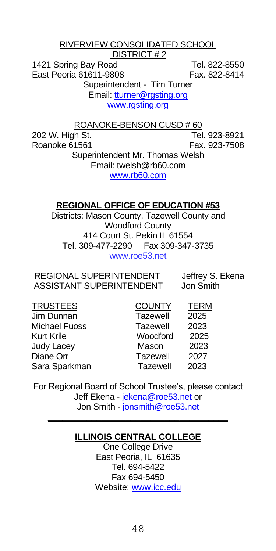RIVERVIEW CONSOLIDATED SCHOOL

DISTRICT # 2

1421 Spring Bay Road Tel. 822-8550 East Peoria 61611-9808 Fax. 822-8414 Superintendent - Tim Turner Email[: tturner@rgsting.org](mailto:tturner@rgsting.org) www.rgsting.org

ROANOKE-BENSON CUSD # 60

202 W. High St. Tel. 923-8921 Roanoke 61561 Fax. 923-7508 Superintendent Mr. Thomas Welsh Email: twelsh@rb60.com www.rb60.com

#### **REGIONAL OFFICE OF EDUCATION #53**

Districts: Mason County, Tazewell County and Woodford County 414 Court St. Pekin IL 61554 Tel. 309-477-2290 Fax 309-347-3735 www.roe53.net

REGIONAL SUPERINTENDENT Jeffrey S. Ekena ASSISTANT SUPERINTENDENT Jon Smith

| TRUSTEES      | <b>COUNTY</b> | <b>TERM</b> |
|---------------|---------------|-------------|
| Jim Dunnan    | Tazewell      | 2025        |
| Michael Fuoss | Tazewell      | 2023        |
| Kurt Krile    | Woodford      | 2025        |
| Judy Lacey    | Mason         | 2023        |
| Diane Orr     | Tazewell      | 2027        |
| Sara Sparkman | Tazewell      | 2023        |

For Regional Board of School Trustee's, please contact Jeff Ekena - [jekena@roe53.net](mailto:jekena@roe53.net) or Jon Smith - [jonsmith@roe53.net](file://///wcapps-01/cntyclerk/County%20Boards/County%20Yearbook/jonsmith@roe53.net)

## **\_\_\_\_\_\_\_\_\_\_\_\_\_\_\_\_\_\_\_\_\_\_\_\_\_\_\_\_\_\_\_\_\_\_\_\_\_ ILLINOIS CENTRAL COLLEGE**

One College Drive East Peoria, IL 61635 Tel. 694-5422 Fax 694-5450 Website[: www.icc.edu](http://www.icc.edu/)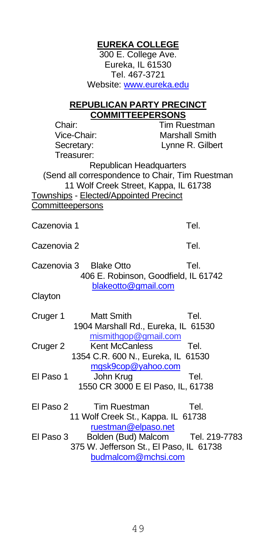300 E. College Ave. Eureka, IL 61530 Tel. 467-3721 Website: [www.eureka.edu](http://www.eureka.edu/) **REPUBLICAN PARTY PRECINCT COMMITTEEPERSONS** Chair: Tim Ruestman Vice-Chair: Marshall Smith Secretary: Lynne R. Gilbert Treasurer: Republican Headquarters (Send all correspondence to Chair, Tim Ruestman 11 Wolf Creek Street, Kappa, IL 61738 Townships - Elected/Appointed Precinct **Committeepersons** Cazenovia 1 Tel. Cazenovia 2 Tel. Cazenovia 3 Blake Otto **Tel.**  406 E. Robinson, Goodfield, IL 61742 [blakeotto@gmail.com](mailto:blakeotto@gmail.com) **Clayton** Cruger 1 Matt Smith Tel. 1904 Marshall Rd., Eureka, IL 61530 mismithgop@gmail.com Cruger 2 Kent McCanless Tel. 1354 C.R. 600 N., Eureka, IL 61530 [mgsk9cop@yahoo.com](mailto:mgsk9cop@yahoo.com) El Paso 1 John Krug Tel. 1550 CR 3000 E El Paso, IL, 61738 El Paso 2 Tim Ruestman Tel. 11 Wolf Creek St., Kappa. IL 61738 [ruestman@elpaso.net](mailto:ruestman@elpaso.net)<br>Fl Paso 3 Bolden (Bud) Malcom Bolden (Bud) Malcom Tel. 219-7783 375 W. Jefferson St., El Paso, IL 61738 [budmalcom@mchsi.com](mailto:budmalcom@mchsi.com)

**EUREKA COLLEGE**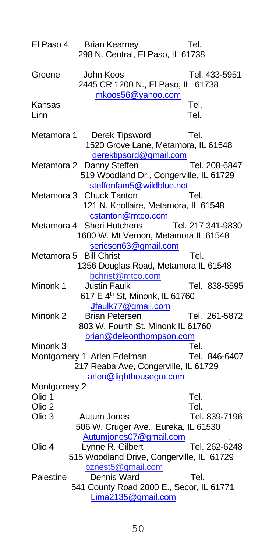| El Paso 4      | <b>Brian Kearney</b><br>298 N. Central, El Paso, IL 61738                                                    | Tel.              |
|----------------|--------------------------------------------------------------------------------------------------------------|-------------------|
| Greene         | John Koos<br>2445 CR 1200 N., El Paso, IL 61738<br>mkoos56@yahoo.com                                         | Tel. 433-5951     |
| Kansas<br>Linn |                                                                                                              | Tel.<br>Tel.      |
| Metamora 1     | Derek Tipsword<br>1520 Grove Lane, Metamora, IL 61548<br>derektipsord@gmail.com                              | Tel.              |
|                | Metamora 2 Danny Steffen<br>519 Woodland Dr., Congerville, IL 61729<br>steffenfam5@wildblue.net              | Tel. 208-6847     |
|                | Metamora 3 Chuck Tanton<br>121 N. Knollaire, Metamora, IL 61548<br>cstanton@mtco.com                         | Tel.              |
|                | Metamora 4 Sheri Hutchens<br>1600 W. Mt Vernon, Metamora IL 61548<br>sericson63@gmail.com                    | Tel. 217 341-9830 |
|                | Metamora 5 Bill Christ<br>1356 Douglas Road, Metamora IL 61548<br>bchrist@mtco.com                           | Tel.              |
| Minonk 1       | <b>Justin Faulk</b><br>617 E 4 <sup>th</sup> St, Minonk, IL 61760<br>Jfaulk77@gmail.com                      | Tel. 838-5595     |
| Minonk 2       | <b>Brian Petersen</b><br>803 W. Fourth St. Minonk IL 61760                                                   | Tel. 261-5872     |
| Minonk 3       | brian@deleonthompson.com                                                                                     | Tel.              |
|                | Montgomery 1 Arlen Edelman<br>217 Reaba Ave, Congerville, IL 61729                                           | Tel. 846-6407     |
|                | arlen@lighthousegm.com                                                                                       |                   |
| Montgomery 2   |                                                                                                              |                   |
| Olio 1         |                                                                                                              | Tel.              |
| Olio 2         |                                                                                                              | Tel.              |
| Olio 3         | Autum Jones<br>506 W. Cruger Ave., Eureka, IL 61530                                                          | Tel. 839-7196     |
| Olio 4         | Autumjones07@gmail.com<br>Lynne R. Gilbert<br>515 Woodland Drive, Congerville, IL 61729<br>bznest5@gmail.com | Tel. 262-6248     |
| Palestine      | Dennis Ward<br>541 County Road 2000 E., Secor, IL 61771<br>Lima2135@gmail.com                                | Tel.              |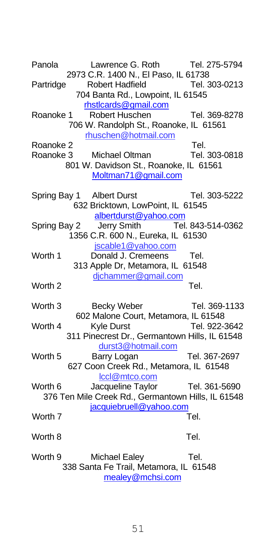Panola Lawrence G. Roth Tel. 275-5794 2973 C.R. 1400 N., El Paso, IL 61738 Partridge Robert Hadfield Tel. 303-0213 704 Banta Rd., Lowpoint, IL 61545 [rhstlcards@gmail.com](mailto:rhstlcards@gmail.com) Roanoke 1 Robert Huschen Tel. 369-8278 706 W. Randolph St., Roanoke, IL 61561 rhuschen@hotmail.com Roanoke 2 Tel. Roanoke 3 Michael Oltman Tel. 303-0818 801 W. Davidson St., Roanoke, IL 61561 [Moltman71@gmail.com](file://///wcapps-01/cntyclerk/County%20Boards/County%20Yearbook/Moltman71@gmail.com)  Spring Bay 1 Albert Durst Tel. 303-5222 632 Bricktown, LowPoint, IL 61545 [albertdurst@yahoo.com](file://///wcapps-01/cntyclerk/County%20Boards/County%20Yearbook/albertdurst@yahoo.com) Spring Bay 2 Jerry Smith Tel. 843-514-0362 1356 C.R. 600 N., Eureka, IL 61530 jscable1@yahoo.com Worth 1 Donald J. Cremeens Tel. 313 Apple Dr, Metamora, IL 61548 djchammer@gmail.com Worth 2 Tel. Worth 3 Becky Weber Tel. 369-1133 602 Malone Court, Metamora, IL 61548 Worth 4 Kyle Durst Tel. 922-3642 311 Pinecrest Dr., Germantown Hills, IL 61548 durst3@hotmail.com Worth 5 Barry Logan Tel. 367-2697 627 Coon Creek Rd., Metamora, IL 61548 lccl@mtco.com Worth 6 Jacqueline Taylor Tel. 361-5690 376 Ten Mile Creek Rd., Germantown Hills, IL 61548 [jacquiebruell@yahoo.com](mailto:jacquiebruell@yahoo.com) Worth 7 Tel. Worth 8 Tel. Worth 9 Michael Ealey Tel. 338 Santa Fe Trail, Metamora, IL 61548

[mealey@mchsi.com](mailto:mealey@mchsi.com)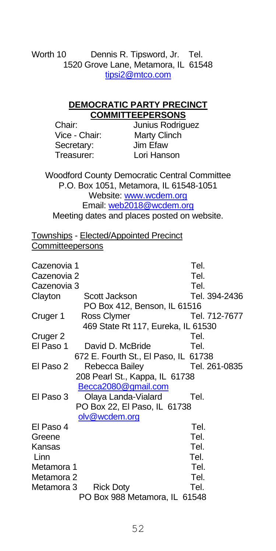Worth 10 Dennis R. Tipsword, Jr. Tel. 1520 Grove Lane, Metamora, IL 61548 [tipsi2@mtco.com](mailto:tipsi2@mtco.com)

#### **DEMOCRATIC PARTY PRECINCT COMMITTEEPERSONS**

Secretary: Treasurer: Lori Hanson

Chair: Junius Rodriguez<br>Vice - Chair: Marty Clinch Marty Clinch<br>Jim Efaw

Woodford County Democratic Central Committee P.O. Box 1051, Metamora, IL 61548-1051 Website[: www.wcdem.org](http://www.wcdem.org/) Email: [web2018@wcdem.org](file://///wcapps-01/cntyclerk/County%20Boards/County%20Yearbook/web2018@wcdem.org) Meeting dates and places posted on website.

Townships - Elected/Appointed Precinct **Committeepersons** 

| Cazenovia 1 |                                      | Tel.          |
|-------------|--------------------------------------|---------------|
| Cazenovia 2 |                                      | Tel.          |
| Cazenovia 3 |                                      | Tel.          |
| Clayton     | Scott Jackson                        | Tel. 394-2436 |
|             | PO Box 412, Benson, IL 61516         |               |
| Cruger 1    | Ross Clymer                          | Tel. 712-7677 |
|             | 469 State Rt 117, Eureka, IL 61530   |               |
| Cruger 2    |                                      | Tel.          |
| El Paso 1   | David D. McBride                     | Tel.          |
|             | 672 E. Fourth St., El Paso, IL 61738 |               |
| El Paso 2   | Rebecca Bailey                       | Tel. 261-0835 |
|             | 208 Pearl St., Kappa, IL 61738       |               |
|             | Becca2080@gmail.com                  |               |
| El Paso 3   | Olaya Landa-Vialard                  | Tel.          |
|             | PO Box 22, El Paso, IL 61738         |               |
|             | olv@wcdem.org                        |               |
| El Paso 4   |                                      | Tel.          |
| Greene      |                                      | Tel.          |
| Kansas      |                                      | Tel.          |
| Linn        |                                      | Tel.          |
| Metamora 1  |                                      | Tel.          |
| Metamora 2  |                                      | Tel.          |
| Metamora 3  | <b>Rick Doty</b>                     | Tel.          |
|             | PO Box 988 Metamora, IL 61548        |               |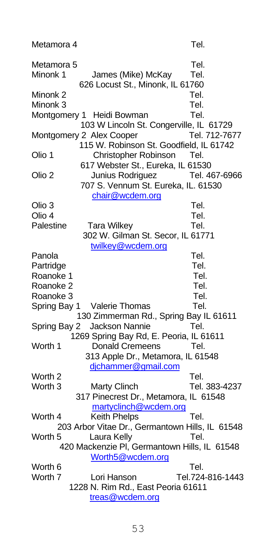Metamora 4 Tel.

Metamora 5 Tel. Minonk 1 James (Mike) McKay Tel. 626 Locust St., Minonk, IL 61760 Minonk 2 Tel. Minonk 3 Tel. Montgomery 1 Heidi Bowman Tel. 103 W Lincoln St. Congerville, IL 61729 Montgomery 2 Alex Cooper Tel. 712-7677 115 W. Robinson St. Goodfield, IL 61742 Olio 1 Christopher Robinson Tel. 617 Webster St., Eureka, IL 61530 Olio 2 Junius Rodriguez Tel. 467-6966 707 S. Vennum St. Eureka, IL. 61530 [chair@wcdem.org](mailto:chair@wcdem.org) Olio 3 Tel. Olio 4 Tel. Palestine Tara Wilkey **Tel.**  302 W. Gilman St. Secor, IL 61771 [twilkey@wcdem.org](file://///wcapps-01/cntyclerk/County%20Boards/County%20Yearbook/twilkey@wcdem.org) Panola **Tel.** Partridge **Tel.** Tel. Roanoke 1 Tel. Roanoke 2 Tel. Roanoke 3 Tel. Spring Bay 1 Valerie Thomas Tel. 130 Zimmerman Rd., Spring Bay IL 61611 Spring Bay 2 Jackson Nannie Tel. 1269 Spring Bay Rd, E. Peoria, IL 61611 Worth 1 Donald Cremeens Tel. 313 Apple Dr., Metamora, IL 61548 djchammer@gmail.com Worth 2 Tel. Worth 3 Marty Clinch Tel. 383-4237 317 Pinecrest Dr., Metamora, IL 61548 martyclinch@wcdem.org Worth 4 Keith Phelps **Tel.**  203 Arbor Vitae Dr., Germantown Hills, IL 61548 Worth 5 Laura Kelly **Tel.**  420 Mackenzie Pl, Germantown Hills, IL 61548 [Worth5@wcdem.org](file://///wcapps-01/cntyclerk/County%20Boards/County%20Yearbook/Worth5@wcdem.org)  Worth 6 Tel. Worth 7 Lori Hanson Tel. 724-816-1443 1228 N. Rim Rd., East Peoria 61611 treas@wcdem.org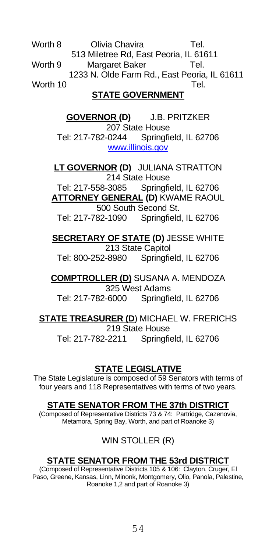Worth 8 Olivia Chavira **Tel.**  513 Miletree Rd, East Peoria, IL 61611 Worth 9 Margaret Baker Tel. 1233 N. Olde Farm Rd., East Peoria, IL 61611 Worth 10 Tel.

#### **STATE GOVERNMENT**

**GOVERNOR (D)** J.B. PRITZKER 207 State House<br>Tel: 217-782-0244 Springfi Springfield, IL 62706 [www.illinois.gov](http://www.illinois.gov/)

**LT GOVERNOR (D)** JULIANA STRATTON 214 State House

Tel: 217-558-3085 Springfield, IL 62706 **ATTORNEY GENERAL (D)** KWAME RAOUL 500 South Second St. Tel: 217-782-1090 Springfield, IL 62706

**SECRETARY OF STATE (D)** JESSE WHITE 213 State Capitol Tel: 800-252-8980 Springfield, IL 62706

**COMPTROLLER (D)** SUSANA A. MENDOZA 325 West Adams Tel: 217-782-6000 Springfield, IL 62706

**STATE TREASURER (D**) MICHAEL W. FRERICHS 219 State House Tel: 217-782-2211 Springfield, IL 62706

## **STATE LEGISLATIVE**

The State Legislature is composed of 59 Senators with terms of four years and 118 Representatives with terms of two years.

#### **STATE SENATOR FROM THE 37th DISTRICT**

(Composed of Representative Districts 73 & 74: Partridge, Cazenovia, Metamora, Spring Bay, Worth, and part of Roanoke 3)

## WIN STOLLER (R)

## **STATE SENATOR FROM THE 53rd DISTRICT**

(Composed of Representative Districts 105 & 106: Clayton, Cruger, El Paso, Greene, Kansas, Linn, Minonk, Montgomery, Olio, Panola, Palestine, Roanoke 1,2 and part of Roanoke 3)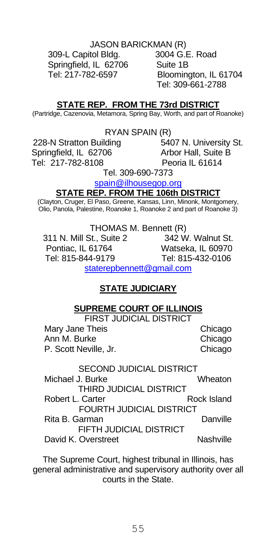#### JASON BARICKMAN (R)

 309-L Capitol Bldg. 3004 G.E. Road Springfield, IL 62706 Suite 1B

 Tel: 217-782-6597 Bloomington, IL 61704 Tel: 309-661-2788

#### **STATE REP. FROM THE 73rd DISTRICT**

(Partridge, Cazenovia, Metamora, Spring Bay, Worth, and part of Roanoke)

RYAN SPAIN (R)

Springfield, IL 62706 Arbor Hall, Suite B Tel: 217-782-8108 Peoria IL 61614

228-N Stratton Building 5407 N. University St.

Tel. 309-690-7373

spain@ilhousegop.org

#### **STATE REP. FROM THE 106th DISTRICT**

(Clayton, Cruger, El Paso, Greene, Kansas, Linn, Minonk, Montgomery, Olio, Panola, Palestine, Roanoke 1, Roanoke 2 and part of Roanoke 3)

THOMAS M. Bennett (R)<br>St.. Suite 2 1942 W. Walnut St. 311 N. Mill St., Suite 2<br>Pontiac. IL 61764 Watseka, IL 60970 Tel: 815-844-9179 Tel: 815-432-0106 [staterepbennett@gmail.com](mailto:staterepbennett@gmail.com)

## **STATE JUDICIARY**

#### **SUPREME COURT OF ILLINOIS**

FIRST JUDICIAL DISTRICT Mary Jane Theis **Chicago** Ann M. Burke Chicago P. Scott Neville, Jr. Chicago

SECOND JUDICIAL DISTRICT Michael J. Burke Wheaton THIRD JUDICIAL DISTRICT Robert L. Carter **Rock Island** FOURTH JUDICIAL DISTRICT Rita B. Garman **Danville**  FIFTH JUDICIAL DISTRICT David K. Overstreet Nashville

The Supreme Court, highest tribunal in Illinois, has general administrative and supervisory authority over all courts in the State.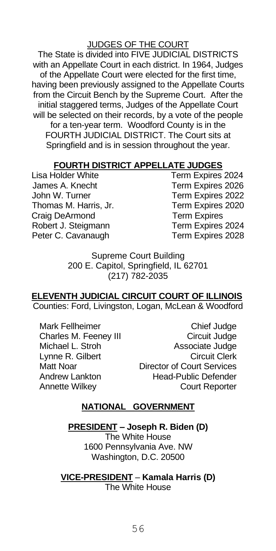#### JUDGES OF THE COURT

The State is divided into FIVE JUDICIAL DISTRICTS with an Appellate Court in each district. In 1964, Judges of the Appellate Court were elected for the first time, having been previously assigned to the Appellate Courts from the Circuit Bench by the Supreme Court. After the initial staggered terms, Judges of the Appellate Court will be selected on their records, by a vote of the people for a ten-year term. Woodford County is in the FOURTH JUDICIAL DISTRICT. The Court sits at Springfield and is in session throughout the year.

## **FOURTH DISTRICT APPELLATE JUDGES**

James A. Knecht Term Expires 2026 John W. Turner **Term Expires 2022**<br>Thomas M. Harris, Jr. Term Expires 2020 Thomas M. Harris, Jr. Craig DeArmond Term Expires Robert J. Steigmann Term Expires 2024 Peter C. Cavanaugh Term Expires 2028

Term Expires 2024

Supreme Court Building 200 E. Capitol, Springfield, IL 62701 (217) 782-2035

## **ELEVENTH JUDICIAL CIRCUIT COURT OF ILLINOIS**

Counties: Ford, Livingston, Logan, McLean & Woodford

Mark Fellheimer Chief Judge Lynne R. Gilbert<br>Matt Noar

Charles M. Feeney III Circuit Judge Michael L. Stroh Associate Judge Director of Court Services Andrew Lankton Head-Public Defender Annette Wilkey Court Reporter

#### **NATIONAL GOVERNMENT**

**PRESIDENT – Joseph R. Biden (D)**

The White House 1600 Pennsylvania Ave. NW Washington, D.C. 20500

**VICE-PRESIDENT** – **Kamala Harris (D)** The White House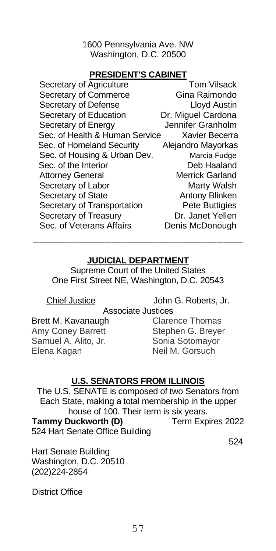1600 Pennsylvania Ave. NW Washington, D.C. 20500

#### **PRESIDENT'S CABINET**

| Secretary of Agriculture       | <b>Tom Vilsack</b> |
|--------------------------------|--------------------|
| Secretary of Commerce          | Gina Raimondo      |
| Secretary of Defense           | Lloyd Austin       |
| Secretary of Education         | Dr. Miguel Cardona |
| Secretary of Energy            | Jennifer Granholm  |
| Sec. of Health & Human Service | Xavier Becerra     |
| Sec. of Homeland Security      | Alejandro Mayorkas |
| Sec. of Housing & Urban Dev.   | Marcia Fudge       |
| Sec. of the Interior           | Deb Haaland        |
| <b>Attorney General</b>        | Merrick Garland    |
| Secretary of Labor             | Marty Walsh        |
| Secretary of State             | Antony Blinken     |
| Secretary of Transportation    | Pete Buttigies     |
| Secretary of Treasury          | Dr. Janet Yellen   |
| Sec. of Veterans Affairs       | Denis McDonough    |

#### **JUDICIAL DEPARTMENT**

 $\mathcal{L}_\text{max} = \frac{1}{2} \sum_{i=1}^n \mathcal{L}_i \mathcal{L}_i$ 

Supreme Court of the United States One First Street NE, Washington, D.C. 20543

Chief Justice John G. Roberts, Jr.

Associate Justices

Brett M. Kavanaugh Clarence Thomas Amy Coney Barrett Stephen G. Breyer Samuel A. Alito, Jr. Sonia Sotomayor Elena Kagan Neil M. Gorsuch

## **U.S. SENATORS FROM ILLINOIS**

The U.S. SENATE is composed of two Senators from Each State, making a total membership in the upper house of 100. Their term is six years.

**Tammy Duckworth (D)** Term Expires 2022 524 Hart Senate Office Building

524

Hart Senate Building Washington, D.C. 20510 (202)224-2854

District Office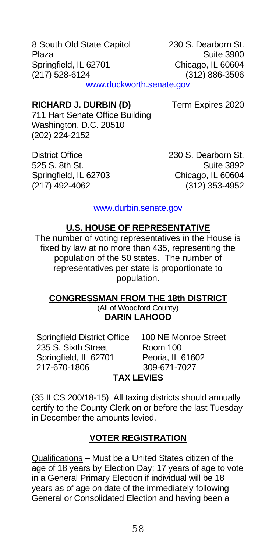8 South Old State Capitol 230 S. Dearborn St. Plaza Suite 3900 Springfield, IL 62701 Chicago, IL 60604 (217) 528-6124 (312) 886-3506 [www.duckworth.senate.gov](http://www.duckworth.senate.gov/)

#### **RICHARD J. DURBIN (D)** Term Expires 2020

711 Hart Senate Office Building Washington, D.C. 20510 (202) 224-2152

District Office 230 S. Dearborn St.<br>525 S. 8th St 230 Suite 3892  $525 S.$  8th  $St.$ Springfield, IL 62703 Chicago, IL 60604 (217) 492-4062 (312) 353-4952

[www.durbin.senate.gov](http://www.durbin.senate.gov/)

#### **U.S. HOUSE OF REPRESENTATIVE**

The number of voting representatives in the House is fixed by law at no more than 435, representing the population of the 50 states. The number of representatives per state is proportionate to population.

#### **CONGRESSMAN FROM THE 18th DISTRICT** (All of Woodford County) **DARIN LAHOOD**

Springfield District Office 100 NE Monroe Street<br>235 S. Sixth Street Room 100 235 S. Sixth Street Springfield, IL 62701 Peoria, IL 61602<br>217-670-1806 309-671-7027  $217 - 670 - 1806$ 

## **TAX LEVIES**

(35 ILCS 200/18-15) All taxing districts should annually certify to the County Clerk on or before the last Tuesday in December the amounts levied.

#### **VOTER REGISTRATION**

Qualifications – Must be a United States citizen of the age of 18 years by Election Day; 17 years of age to vote in a General Primary Election if individual will be 18 years as of age on date of the immediately following General or Consolidated Election and having been a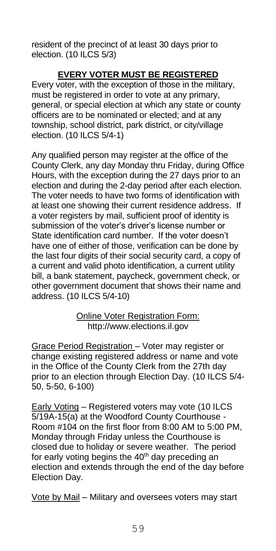resident of the precinct of at least 30 days prior to election. (10 ILCS 5/3)

#### **EVERY VOTER MUST BE REGISTERED**

Every voter, with the exception of those in the military, must be registered in order to vote at any primary, general, or special election at which any state or county officers are to be nominated or elected; and at any township, school district, park district, or city/village election. (10 ILCS 5/4-1)

Any qualified person may register at the office of the County Clerk, any day Monday thru Friday, during Office Hours, with the exception during the 27 days prior to an election and during the 2-day period after each election. The voter needs to have two forms of identification with at least one showing their current residence address. If a voter registers by mail, sufficient proof of identity is submission of the voter's driver's license number or State identification card number. If the voter doesn't have one of either of those, verification can be done by the last four digits of their social security card, a copy of a current and valid photo identification, a current utility bill, a bank statement, paycheck, government check, or other government document that shows their name and address. (10 ILCS 5/4-10)

> Online Voter Registration Form: http://www.elections.il.gov

Grace Period Registration – Voter may register or change existing registered address or name and vote in the Office of the County Clerk from the 27th day prior to an election through Election Day. (10 ILCS 5/4- 50, 5-50, 6-100)

Early Voting – Registered voters may vote (10 ILCS 5/19A-15(a) at the Woodford County Courthouse - Room #104 on the first floor from 8:00 AM to 5:00 PM, Monday through Friday unless the Courthouse is closed due to holiday or severe weather. The period for early voting begins the  $40<sup>th</sup>$  day preceding an election and extends through the end of the day before Election Day.

Vote by Mail – Military and oversees voters may start